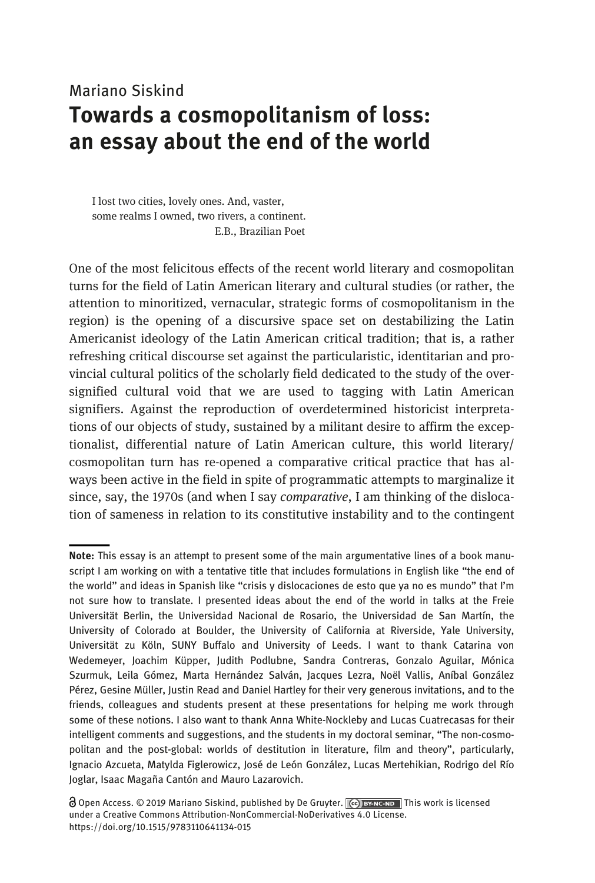# Mariano Siskind Towards a cosmopolitanism of loss: an essay about the end of the world

I lost two cities, lovely ones. And, vaster, some realms I owned, two rivers, a continent. E.B., Brazilian Poet

One of the most felicitous effects of the recent world literary and cosmopolitan turns for the field of Latin American literary and cultural studies (or rather, the attention to minoritized, vernacular, strategic forms of cosmopolitanism in the region) is the opening of a discursive space set on destabilizing the Latin Americanist ideology of the Latin American critical tradition; that is, a rather refreshing critical discourse set against the particularistic, identitarian and provincial cultural politics of the scholarly field dedicated to the study of the oversignified cultural void that we are used to tagging with Latin American signifiers. Against the reproduction of overdetermined historicist interpretations of our objects of study, sustained by a militant desire to affirm the exceptionalist, differential nature of Latin American culture, this world literary/ cosmopolitan turn has re-opened a comparative critical practice that has always been active in the field in spite of programmatic attempts to marginalize it since, say, the 1970s (and when I say *comparative*, I am thinking of the dislocation of sameness in relation to its constitutive instability and to the contingent

Note: This essay is an attempt to present some of the main argumentative lines of a book manuscript I am working on with a tentative title that includes formulations in English like "the end of the world" and ideas in Spanish like "crisis y dislocaciones de esto que ya no es mundo" that I'm not sure how to translate. I presented ideas about the end of the world in talks at the Freie Universität Berlin, the Universidad Nacional de Rosario, the Universidad de San Martín, the University of Colorado at Boulder, the University of California at Riverside, Yale University, Universität zu Köln, SUNY Buffalo and University of Leeds. I want to thank Catarina von Wedemeyer, Joachim Küpper, Judith Podlubne, Sandra Contreras, Gonzalo Aguilar, Mónica Szurmuk, Leila Gómez, Marta Hernández Salván, Jacques Lezra, Noël Vallis, Aníbal González Pérez, Gesine Müller, Justin Read and Daniel Hartley for their very generous invitations, and to the friends, colleagues and students present at these presentations for helping me work through some of these notions. I also want to thank Anna White-Nockleby and Lucas Cuatrecasas for their intelligent comments and suggestions, and the students in my doctoral seminar, "The non-cosmopolitan and the post-global: worlds of destitution in literature, film and theory", particularly, Ignacio Azcueta, Matylda Figlerowicz, José de León González, Lucas Mertehikian, Rodrigo del Río Joglar, Isaac Magaña Cantón and Mauro Lazarovich.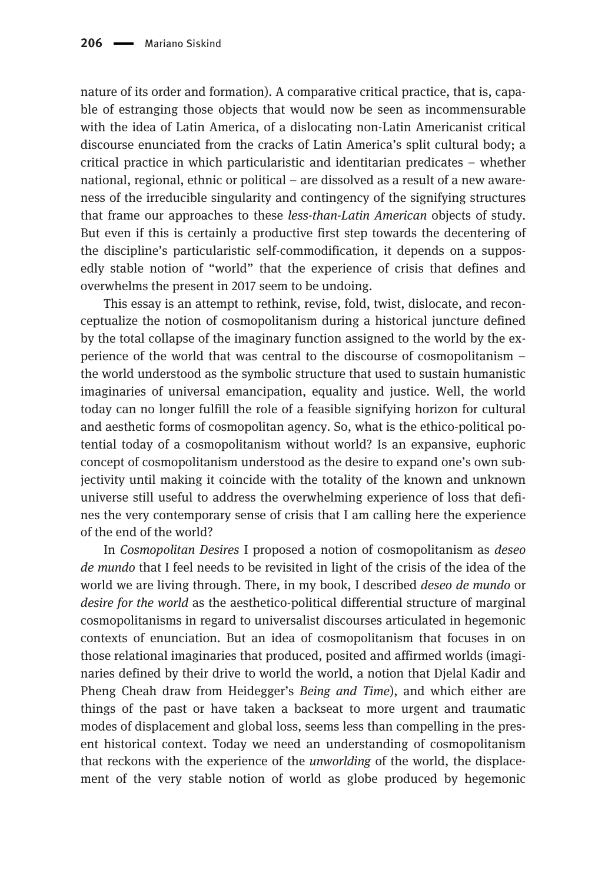nature of its order and formation). A comparative critical practice, that is, capable of estranging those objects that would now be seen as incommensurable with the idea of Latin America, of a dislocating non-Latin Americanist critical discourse enunciated from the cracks of Latin America's split cultural body; a critical practice in which particularistic and identitarian predicates – whether national, regional, ethnic or political – are dissolved as a result of a new awareness of the irreducible singularity and contingency of the signifying structures that frame our approaches to these less-than-Latin American objects of study. But even if this is certainly a productive first step towards the decentering of the discipline's particularistic self-commodification, it depends on a supposedly stable notion of "world" that the experience of crisis that defines and overwhelms the present in 2017 seem to be undoing.

This essay is an attempt to rethink, revise, fold, twist, dislocate, and reconceptualize the notion of cosmopolitanism during a historical juncture defined by the total collapse of the imaginary function assigned to the world by the experience of the world that was central to the discourse of cosmopolitanism – the world understood as the symbolic structure that used to sustain humanistic imaginaries of universal emancipation, equality and justice. Well, the world today can no longer fulfill the role of a feasible signifying horizon for cultural and aesthetic forms of cosmopolitan agency. So, what is the ethico-political potential today of a cosmopolitanism without world? Is an expansive, euphoric concept of cosmopolitanism understood as the desire to expand one's own subjectivity until making it coincide with the totality of the known and unknown universe still useful to address the overwhelming experience of loss that defines the very contemporary sense of crisis that I am calling here the experience of the end of the world?

In Cosmopolitan Desires I proposed a notion of cosmopolitanism as deseo de mundo that I feel needs to be revisited in light of the crisis of the idea of the world we are living through. There, in my book, I described *deseo de mundo* or desire for the world as the aesthetico-political differential structure of marginal cosmopolitanisms in regard to universalist discourses articulated in hegemonic contexts of enunciation. But an idea of cosmopolitanism that focuses in on those relational imaginaries that produced, posited and affirmed worlds (imaginaries defined by their drive to world the world, a notion that Djelal Kadir and Pheng Cheah draw from Heidegger's Being and Time), and which either are things of the past or have taken a backseat to more urgent and traumatic modes of displacement and global loss, seems less than compelling in the present historical context. Today we need an understanding of cosmopolitanism that reckons with the experience of the unworlding of the world, the displacement of the very stable notion of world as globe produced by hegemonic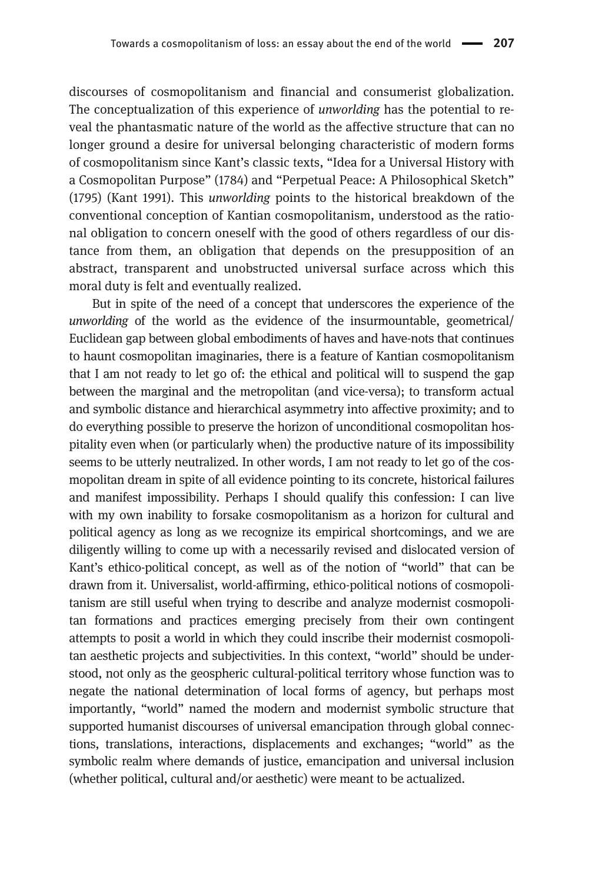discourses of cosmopolitanism and financial and consumerist globalization. The conceptualization of this experience of unworlding has the potential to reveal the phantasmatic nature of the world as the affective structure that can no longer ground a desire for universal belonging characteristic of modern forms of cosmopolitanism since Kant's classic texts, "Idea for a Universal History with a Cosmopolitan Purpose" (1784) and "Perpetual Peace: A Philosophical Sketch" (1795) (Kant 1991). This unworlding points to the historical breakdown of the conventional conception of Kantian cosmopolitanism, understood as the rational obligation to concern oneself with the good of others regardless of our distance from them, an obligation that depends on the presupposition of an abstract, transparent and unobstructed universal surface across which this moral duty is felt and eventually realized.

But in spite of the need of a concept that underscores the experience of the unworlding of the world as the evidence of the insurmountable, geometrical/ Euclidean gap between global embodiments of haves and have-nots that continues to haunt cosmopolitan imaginaries, there is a feature of Kantian cosmopolitanism that I am not ready to let go of: the ethical and political will to suspend the gap between the marginal and the metropolitan (and vice-versa); to transform actual and symbolic distance and hierarchical asymmetry into affective proximity; and to do everything possible to preserve the horizon of unconditional cosmopolitan hospitality even when (or particularly when) the productive nature of its impossibility seems to be utterly neutralized. In other words, I am not ready to let go of the cosmopolitan dream in spite of all evidence pointing to its concrete, historical failures and manifest impossibility. Perhaps I should qualify this confession: I can live with my own inability to forsake cosmopolitanism as a horizon for cultural and political agency as long as we recognize its empirical shortcomings, and we are diligently willing to come up with a necessarily revised and dislocated version of Kant's ethico-political concept, as well as of the notion of "world" that can be drawn from it. Universalist, world-affirming, ethico-political notions of cosmopolitanism are still useful when trying to describe and analyze modernist cosmopolitan formations and practices emerging precisely from their own contingent attempts to posit a world in which they could inscribe their modernist cosmopolitan aesthetic projects and subjectivities. In this context, "world" should be understood, not only as the geospheric cultural-political territory whose function was to negate the national determination of local forms of agency, but perhaps most importantly, "world" named the modern and modernist symbolic structure that supported humanist discourses of universal emancipation through global connections, translations, interactions, displacements and exchanges; "world" as the symbolic realm where demands of justice, emancipation and universal inclusion (whether political, cultural and/or aesthetic) were meant to be actualized.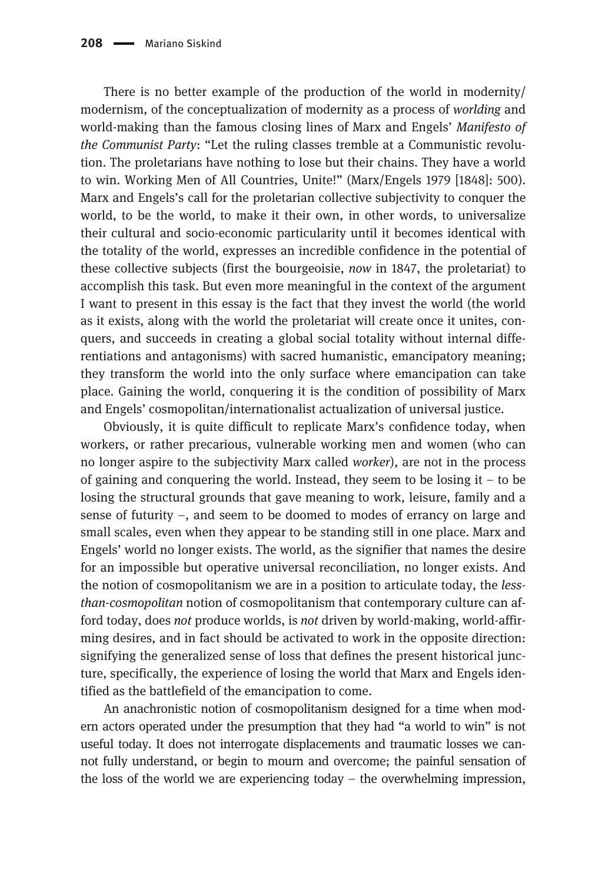There is no better example of the production of the world in modernity/ modernism, of the conceptualization of modernity as a process of worlding and world-making than the famous closing lines of Marx and Engels' Manifesto of the Communist Party: "Let the ruling classes tremble at a Communistic revolution. The proletarians have nothing to lose but their chains. They have a world to win. Working Men of All Countries, Unite!" (Marx/Engels 1979 [1848]: 500). Marx and Engels's call for the proletarian collective subjectivity to conquer the world, to be the world, to make it their own, in other words, to universalize their cultural and socio-economic particularity until it becomes identical with the totality of the world, expresses an incredible confidence in the potential of these collective subjects (first the bourgeoisie, now in 1847, the proletariat) to accomplish this task. But even more meaningful in the context of the argument I want to present in this essay is the fact that they invest the world (the world as it exists, along with the world the proletariat will create once it unites, conquers, and succeeds in creating a global social totality without internal differentiations and antagonisms) with sacred humanistic, emancipatory meaning; they transform the world into the only surface where emancipation can take place. Gaining the world, conquering it is the condition of possibility of Marx and Engels' cosmopolitan/internationalist actualization of universal justice.

Obviously, it is quite difficult to replicate Marx's confidence today, when workers, or rather precarious, vulnerable working men and women (who can no longer aspire to the subjectivity Marx called worker), are not in the process of gaining and conquering the world. Instead, they seem to be losing it – to be losing the structural grounds that gave meaning to work, leisure, family and a sense of futurity –, and seem to be doomed to modes of errancy on large and small scales, even when they appear to be standing still in one place. Marx and Engels' world no longer exists. The world, as the signifier that names the desire for an impossible but operative universal reconciliation, no longer exists. And the notion of cosmopolitanism we are in a position to articulate today, the lessthan-cosmopolitan notion of cosmopolitanism that contemporary culture can afford today, does not produce worlds, is not driven by world-making, world-affirming desires, and in fact should be activated to work in the opposite direction: signifying the generalized sense of loss that defines the present historical juncture, specifically, the experience of losing the world that Marx and Engels identified as the battlefield of the emancipation to come.

An anachronistic notion of cosmopolitanism designed for a time when modern actors operated under the presumption that they had "a world to win" is not useful today. It does not interrogate displacements and traumatic losses we cannot fully understand, or begin to mourn and overcome; the painful sensation of the loss of the world we are experiencing today – the overwhelming impression,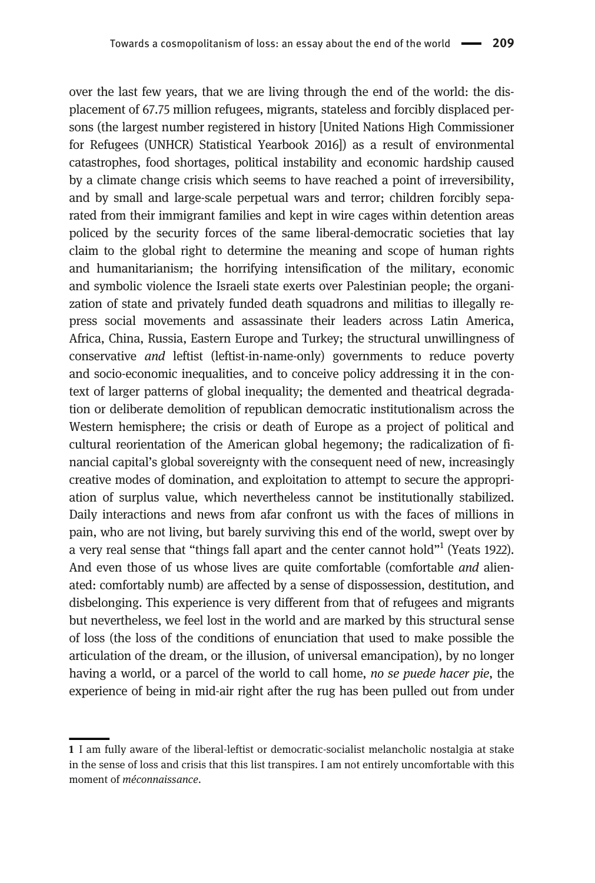over the last few years, that we are living through the end of the world: the displacement of 67.75 million refugees, migrants, stateless and forcibly displaced persons (the largest number registered in history [United Nations High Commissioner for Refugees (UNHCR) Statistical Yearbook 2016]) as a result of environmental catastrophes, food shortages, political instability and economic hardship caused by a climate change crisis which seems to have reached a point of irreversibility, and by small and large-scale perpetual wars and terror; children forcibly separated from their immigrant families and kept in wire cages within detention areas policed by the security forces of the same liberal-democratic societies that lay claim to the global right to determine the meaning and scope of human rights and humanitarianism; the horrifying intensification of the military, economic and symbolic violence the Israeli state exerts over Palestinian people; the organization of state and privately funded death squadrons and militias to illegally repress social movements and assassinate their leaders across Latin America, Africa, China, Russia, Eastern Europe and Turkey; the structural unwillingness of conservative and leftist (leftist-in-name-only) governments to reduce poverty and socio-economic inequalities, and to conceive policy addressing it in the context of larger patterns of global inequality; the demented and theatrical degradation or deliberate demolition of republican democratic institutionalism across the Western hemisphere; the crisis or death of Europe as a project of political and cultural reorientation of the American global hegemony; the radicalization of financial capital's global sovereignty with the consequent need of new, increasingly creative modes of domination, and exploitation to attempt to secure the appropriation of surplus value, which nevertheless cannot be institutionally stabilized. Daily interactions and news from afar confront us with the faces of millions in pain, who are not living, but barely surviving this end of the world, swept over by a very real sense that "things fall apart and the center cannot hold"<sup>1</sup> (Yeats 1922). And even those of us whose lives are quite comfortable (comfortable and alienated: comfortably numb) are affected by a sense of dispossession, destitution, and disbelonging. This experience is very different from that of refugees and migrants but nevertheless, we feel lost in the world and are marked by this structural sense of loss (the loss of the conditions of enunciation that used to make possible the articulation of the dream, or the illusion, of universal emancipation), by no longer having a world, or a parcel of the world to call home, no se puede hacer pie, the experience of being in mid-air right after the rug has been pulled out from under

<sup>1</sup> I am fully aware of the liberal-leftist or democratic-socialist melancholic nostalgia at stake in the sense of loss and crisis that this list transpires. I am not entirely uncomfortable with this moment of méconnaissance.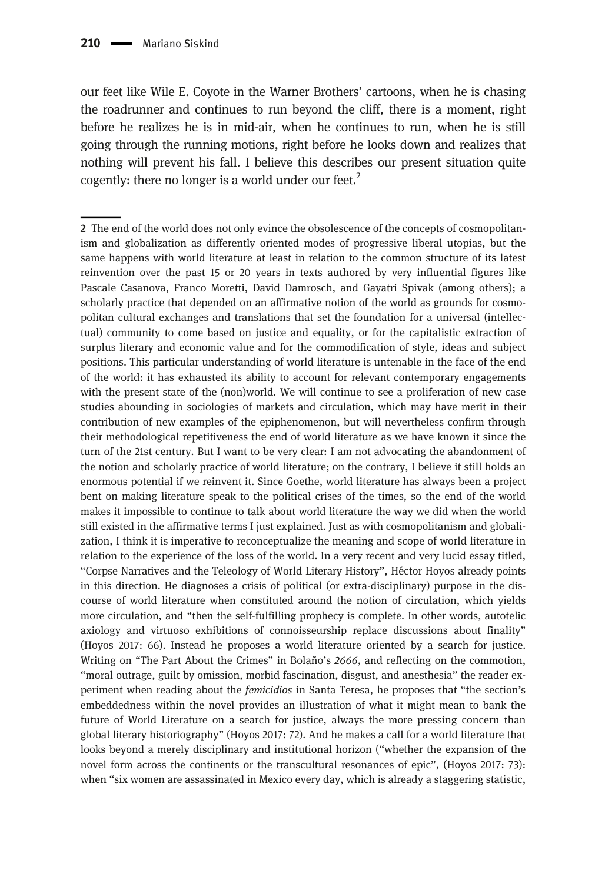our feet like Wile E. Coyote in the Warner Brothers' cartoons, when he is chasing the roadrunner and continues to run beyond the cliff, there is a moment, right before he realizes he is in mid-air, when he continues to run, when he is still going through the running motions, right before he looks down and realizes that nothing will prevent his fall. I believe this describes our present situation quite cogently: there no longer is a world under our feet.<sup>2</sup>

<sup>2</sup> The end of the world does not only evince the obsolescence of the concepts of cosmopolitanism and globalization as differently oriented modes of progressive liberal utopias, but the same happens with world literature at least in relation to the common structure of its latest reinvention over the past 15 or 20 years in texts authored by very influential figures like Pascale Casanova, Franco Moretti, David Damrosch, and Gayatri Spivak (among others); a scholarly practice that depended on an affirmative notion of the world as grounds for cosmopolitan cultural exchanges and translations that set the foundation for a universal (intellectual) community to come based on justice and equality, or for the capitalistic extraction of surplus literary and economic value and for the commodification of style, ideas and subject positions. This particular understanding of world literature is untenable in the face of the end of the world: it has exhausted its ability to account for relevant contemporary engagements with the present state of the (non)world. We will continue to see a proliferation of new case studies abounding in sociologies of markets and circulation, which may have merit in their contribution of new examples of the epiphenomenon, but will nevertheless confirm through their methodological repetitiveness the end of world literature as we have known it since the turn of the 21st century. But I want to be very clear: I am not advocating the abandonment of the notion and scholarly practice of world literature; on the contrary, I believe it still holds an enormous potential if we reinvent it. Since Goethe, world literature has always been a project bent on making literature speak to the political crises of the times, so the end of the world makes it impossible to continue to talk about world literature the way we did when the world still existed in the affirmative terms I just explained. Just as with cosmopolitanism and globalization, I think it is imperative to reconceptualize the meaning and scope of world literature in relation to the experience of the loss of the world. In a very recent and very lucid essay titled, "Corpse Narratives and the Teleology of World Literary History", Héctor Hoyos already points in this direction. He diagnoses a crisis of political (or extra-disciplinary) purpose in the discourse of world literature when constituted around the notion of circulation, which yields more circulation, and "then the self-fulfilling prophecy is complete. In other words, autotelic axiology and virtuoso exhibitions of connoisseurship replace discussions about finality" (Hoyos 2017: 66). Instead he proposes a world literature oriented by a search for justice. Writing on "The Part About the Crimes" in Bolaño's 2666, and reflecting on the commotion, "moral outrage, guilt by omission, morbid fascination, disgust, and anesthesia" the reader experiment when reading about the femicidios in Santa Teresa, he proposes that "the section's embeddedness within the novel provides an illustration of what it might mean to bank the future of World Literature on a search for justice, always the more pressing concern than global literary historiography" (Hoyos 2017: 72). And he makes a call for a world literature that looks beyond a merely disciplinary and institutional horizon ("whether the expansion of the novel form across the continents or the transcultural resonances of epic", (Hoyos 2017: 73): when "six women are assassinated in Mexico every day, which is already a staggering statistic,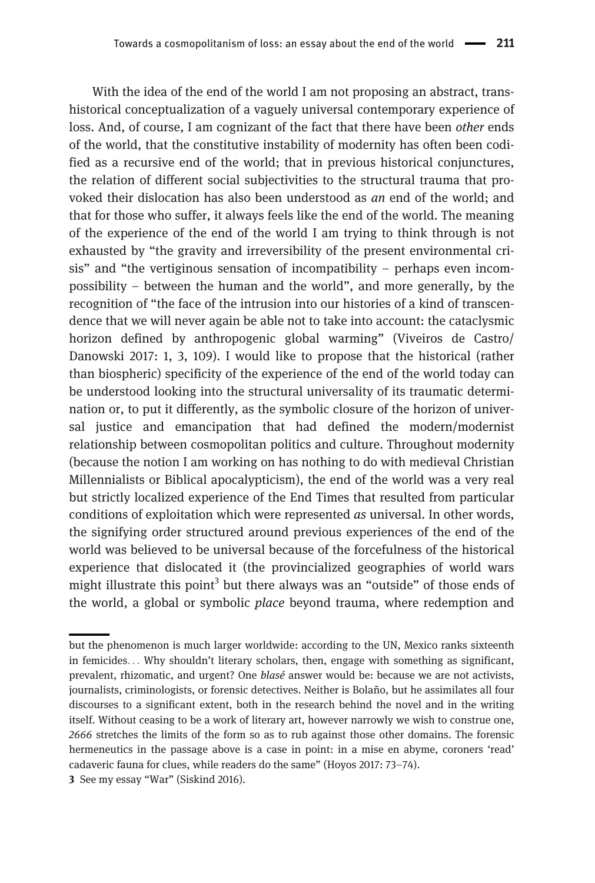With the idea of the end of the world I am not proposing an abstract, transhistorical conceptualization of a vaguely universal contemporary experience of loss. And, of course, I am cognizant of the fact that there have been *other* ends of the world, that the constitutive instability of modernity has often been codified as a recursive end of the world; that in previous historical conjunctures, the relation of different social subjectivities to the structural trauma that provoked their dislocation has also been understood as an end of the world; and that for those who suffer, it always feels like the end of the world. The meaning of the experience of the end of the world I am trying to think through is not exhausted by "the gravity and irreversibility of the present environmental crisis" and "the vertiginous sensation of incompatibility – perhaps even incompossibility – between the human and the world", and more generally, by the recognition of "the face of the intrusion into our histories of a kind of transcendence that we will never again be able not to take into account: the cataclysmic horizon defined by anthropogenic global warming" (Viveiros de Castro/ Danowski 2017: 1, 3, 109). I would like to propose that the historical (rather than biospheric) specificity of the experience of the end of the world today can be understood looking into the structural universality of its traumatic determination or, to put it differently, as the symbolic closure of the horizon of universal justice and emancipation that had defined the modern/modernist relationship between cosmopolitan politics and culture. Throughout modernity (because the notion I am working on has nothing to do with medieval Christian Millennialists or Biblical apocalypticism), the end of the world was a very real but strictly localized experience of the End Times that resulted from particular conditions of exploitation which were represented as universal. In other words, the signifying order structured around previous experiences of the end of the world was believed to be universal because of the forcefulness of the historical experience that dislocated it (the provincialized geographies of world wars might illustrate this point<sup>3</sup> but there always was an "outside" of those ends of the world, a global or symbolic place beyond trauma, where redemption and

but the phenomenon is much larger worldwide: according to the UN, Mexico ranks sixteenth in femicides... Why shouldn't literary scholars, then, engage with something as significant, prevalent, rhizomatic, and urgent? One blasé answer would be: because we are not activists, journalists, criminologists, or forensic detectives. Neither is Bolaño, but he assimilates all four discourses to a significant extent, both in the research behind the novel and in the writing itself. Without ceasing to be a work of literary art, however narrowly we wish to construe one, 2666 stretches the limits of the form so as to rub against those other domains. The forensic hermeneutics in the passage above is a case in point: in a mise en abyme, coroners 'read' cadaveric fauna for clues, while readers do the same" (Hoyos 2017: 73–74).

<sup>3</sup> See my essay "War" (Siskind 2016).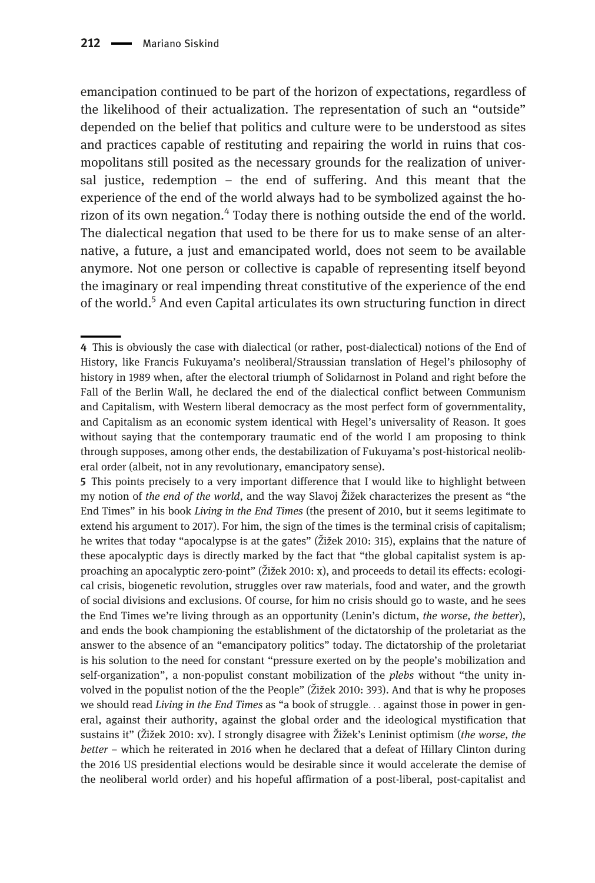emancipation continued to be part of the horizon of expectations, regardless of the likelihood of their actualization. The representation of such an "outside" depended on the belief that politics and culture were to be understood as sites and practices capable of restituting and repairing the world in ruins that cosmopolitans still posited as the necessary grounds for the realization of universal justice, redemption – the end of suffering. And this meant that the experience of the end of the world always had to be symbolized against the horizon of its own negation.<sup>4</sup> Today there is nothing outside the end of the world. The dialectical negation that used to be there for us to make sense of an alternative, a future, a just and emancipated world, does not seem to be available anymore. Not one person or collective is capable of representing itself beyond the imaginary or real impending threat constitutive of the experience of the end of the world.<sup>5</sup> And even Capital articulates its own structuring function in direct

<sup>4</sup> This is obviously the case with dialectical (or rather, post-dialectical) notions of the End of History, like Francis Fukuyama's neoliberal/Straussian translation of Hegel's philosophy of history in 1989 when, after the electoral triumph of Solidarnost in Poland and right before the Fall of the Berlin Wall, he declared the end of the dialectical conflict between Communism and Capitalism, with Western liberal democracy as the most perfect form of governmentality, and Capitalism as an economic system identical with Hegel's universality of Reason. It goes without saying that the contemporary traumatic end of the world I am proposing to think through supposes, among other ends, the destabilization of Fukuyama's post-historical neoliberal order (albeit, not in any revolutionary, emancipatory sense).

<sup>5</sup> This points precisely to a very important difference that I would like to highlight between my notion of the end of the world, and the way Slavoj Žižek characterizes the present as "the End Times" in his book Living in the End Times (the present of 2010, but it seems legitimate to extend his argument to 2017). For him, the sign of the times is the terminal crisis of capitalism; he writes that today "apocalypse is at the gates" (Žižek 2010: 315), explains that the nature of these apocalyptic days is directly marked by the fact that "the global capitalist system is approaching an apocalyptic zero-point" (Žižek 2010: x), and proceeds to detail its effects: ecological crisis, biogenetic revolution, struggles over raw materials, food and water, and the growth of social divisions and exclusions. Of course, for him no crisis should go to waste, and he sees the End Times we're living through as an opportunity (Lenin's dictum, the worse, the better), and ends the book championing the establishment of the dictatorship of the proletariat as the answer to the absence of an "emancipatory politics" today. The dictatorship of the proletariat is his solution to the need for constant "pressure exerted on by the people's mobilization and self-organization", a non-populist constant mobilization of the *plebs* without "the unity involved in the populist notion of the the People" (Žižek 2010: 393). And that is why he proposes we should read Living in the End Times as "a book of struggle... against those in power in general, against their authority, against the global order and the ideological mystification that sustains it" (Žižek 2010: xv). I strongly disagree with Žižek's Leninist optimism (the worse, the better − which he reiterated in 2016 when he declared that a defeat of Hillary Clinton during the 2016 US presidential elections would be desirable since it would accelerate the demise of the neoliberal world order) and his hopeful affirmation of a post-liberal, post-capitalist and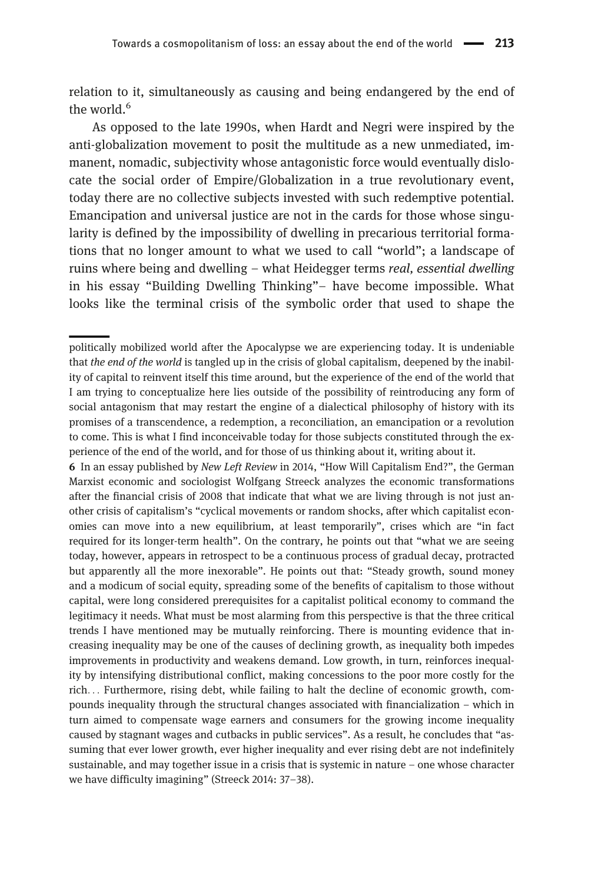relation to it, simultaneously as causing and being endangered by the end of the world. $6$ 

As opposed to the late 1990s, when Hardt and Negri were inspired by the anti-globalization movement to posit the multitude as a new unmediated, immanent, nomadic, subjectivity whose antagonistic force would eventually dislocate the social order of Empire/Globalization in a true revolutionary event, today there are no collective subjects invested with such redemptive potential. Emancipation and universal justice are not in the cards for those whose singularity is defined by the impossibility of dwelling in precarious territorial formations that no longer amount to what we used to call "world"; a landscape of ruins where being and dwelling – what Heidegger terms real, essential dwelling in his essay "Building Dwelling Thinking"– have become impossible. What looks like the terminal crisis of the symbolic order that used to shape the

6 In an essay published by New Left Review in 2014, "How Will Capitalism End?", the German Marxist economic and sociologist Wolfgang Streeck analyzes the economic transformations after the financial crisis of 2008 that indicate that what we are living through is not just another crisis of capitalism's "cyclical movements or random shocks, after which capitalist economies can move into a new equilibrium, at least temporarily", crises which are "in fact required for its longer-term health". On the contrary, he points out that "what we are seeing today, however, appears in retrospect to be a continuous process of gradual decay, protracted but apparently all the more inexorable". He points out that: "Steady growth, sound money and a modicum of social equity, spreading some of the benefits of capitalism to those without capital, were long considered prerequisites for a capitalist political economy to command the legitimacy it needs. What must be most alarming from this perspective is that the three critical trends I have mentioned may be mutually reinforcing. There is mounting evidence that increasing inequality may be one of the causes of declining growth, as inequality both impedes improvements in productivity and weakens demand. Low growth, in turn, reinforces inequality by intensifying distributional conflict, making concessions to the poor more costly for the rich... Furthermore, rising debt, while failing to halt the decline of economic growth, compounds inequality through the structural changes associated with financialization − which in turn aimed to compensate wage earners and consumers for the growing income inequality caused by stagnant wages and cutbacks in public services". As a result, he concludes that "assuming that ever lower growth, ever higher inequality and ever rising debt are not indefinitely sustainable, and may together issue in a crisis that is systemic in nature – one whose character we have difficulty imagining" (Streeck 2014: 37–38).

politically mobilized world after the Apocalypse we are experiencing today. It is undeniable that the end of the world is tangled up in the crisis of global capitalism, deepened by the inability of capital to reinvent itself this time around, but the experience of the end of the world that I am trying to conceptualize here lies outside of the possibility of reintroducing any form of social antagonism that may restart the engine of a dialectical philosophy of history with its promises of a transcendence, a redemption, a reconciliation, an emancipation or a revolution to come. This is what I find inconceivable today for those subjects constituted through the experience of the end of the world, and for those of us thinking about it, writing about it.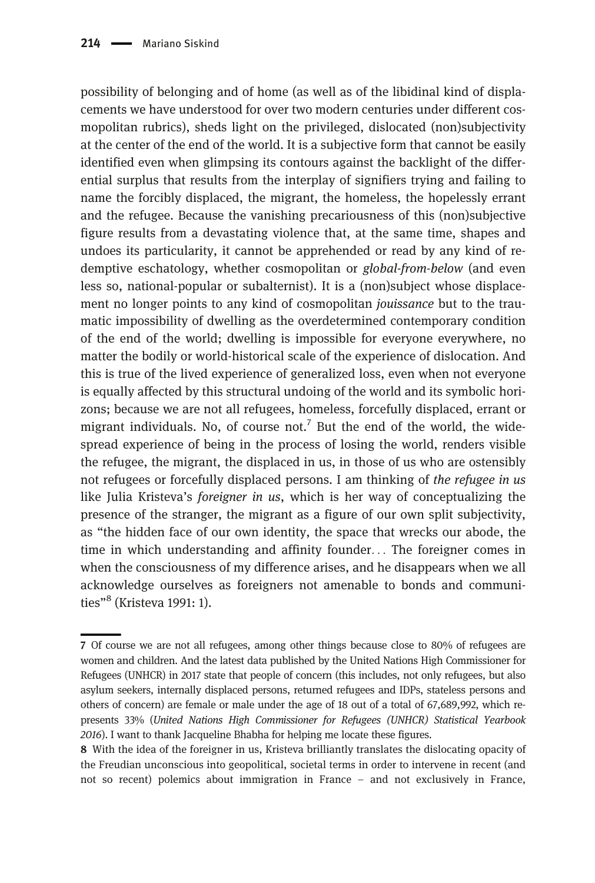possibility of belonging and of home (as well as of the libidinal kind of displacements we have understood for over two modern centuries under different cosmopolitan rubrics), sheds light on the privileged, dislocated (non)subjectivity at the center of the end of the world. It is a subjective form that cannot be easily identified even when glimpsing its contours against the backlight of the differential surplus that results from the interplay of signifiers trying and failing to name the forcibly displaced, the migrant, the homeless, the hopelessly errant and the refugee. Because the vanishing precariousness of this (non)subjective figure results from a devastating violence that, at the same time, shapes and undoes its particularity, it cannot be apprehended or read by any kind of redemptive eschatology, whether cosmopolitan or global-from-below (and even less so, national-popular or subalternist). It is a (non)subject whose displacement no longer points to any kind of cosmopolitan jouissance but to the traumatic impossibility of dwelling as the overdetermined contemporary condition of the end of the world; dwelling is impossible for everyone everywhere, no matter the bodily or world-historical scale of the experience of dislocation. And this is true of the lived experience of generalized loss, even when not everyone is equally affected by this structural undoing of the world and its symbolic horizons; because we are not all refugees, homeless, forcefully displaced, errant or migrant individuals. No, of course not.<sup>7</sup> But the end of the world, the widespread experience of being in the process of losing the world, renders visible the refugee, the migrant, the displaced in us, in those of us who are ostensibly not refugees or forcefully displaced persons. I am thinking of the refugee in us like Julia Kristeva's foreigner in us, which is her way of conceptualizing the presence of the stranger, the migrant as a figure of our own split subjectivity, as "the hidden face of our own identity, the space that wrecks our abode, the time in which understanding and affinity founder... The foreigner comes in when the consciousness of my difference arises, and he disappears when we all acknowledge ourselves as foreigners not amenable to bonds and communities"<sup>8</sup> (Kristeva 1991: 1).

<sup>7</sup> Of course we are not all refugees, among other things because close to 80% of refugees are women and children. And the latest data published by the United Nations High Commissioner for Refugees (UNHCR) in 2017 state that people of concern (this includes, not only refugees, but also asylum seekers, internally displaced persons, returned refugees and IDPs, stateless persons and others of concern) are female or male under the age of 18 out of a total of 67,689,992, which represents 33% (United Nations High Commissioner for Refugees (UNHCR) Statistical Yearbook 2016). I want to thank Jacqueline Bhabha for helping me locate these figures.

<sup>8</sup> With the idea of the foreigner in us, Kristeva brilliantly translates the dislocating opacity of the Freudian unconscious into geopolitical, societal terms in order to intervene in recent (and not so recent) polemics about immigration in France – and not exclusively in France,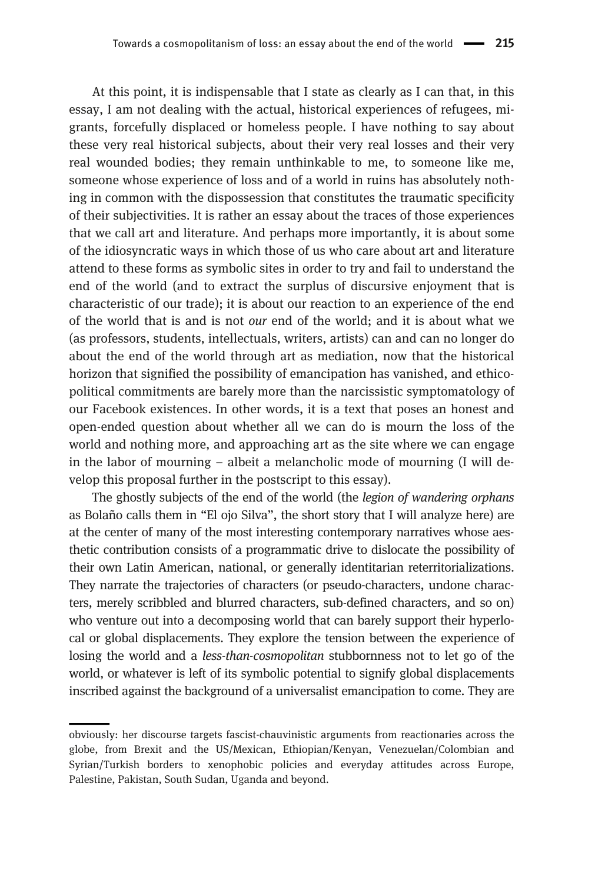At this point, it is indispensable that I state as clearly as I can that, in this essay, I am not dealing with the actual, historical experiences of refugees, migrants, forcefully displaced or homeless people. I have nothing to say about these very real historical subjects, about their very real losses and their very real wounded bodies; they remain unthinkable to me, to someone like me, someone whose experience of loss and of a world in ruins has absolutely nothing in common with the dispossession that constitutes the traumatic specificity of their subjectivities. It is rather an essay about the traces of those experiences that we call art and literature. And perhaps more importantly, it is about some of the idiosyncratic ways in which those of us who care about art and literature attend to these forms as symbolic sites in order to try and fail to understand the end of the world (and to extract the surplus of discursive enjoyment that is characteristic of our trade); it is about our reaction to an experience of the end of the world that is and is not our end of the world; and it is about what we (as professors, students, intellectuals, writers, artists) can and can no longer do about the end of the world through art as mediation, now that the historical horizon that signified the possibility of emancipation has vanished, and ethicopolitical commitments are barely more than the narcissistic symptomatology of our Facebook existences. In other words, it is a text that poses an honest and open-ended question about whether all we can do is mourn the loss of the world and nothing more, and approaching art as the site where we can engage in the labor of mourning – albeit a melancholic mode of mourning (I will develop this proposal further in the postscript to this essay).

The ghostly subjects of the end of the world (the legion of wandering orphans as Bolaño calls them in "El ojo Silva", the short story that I will analyze here) are at the center of many of the most interesting contemporary narratives whose aesthetic contribution consists of a programmatic drive to dislocate the possibility of their own Latin American, national, or generally identitarian reterritorializations. They narrate the trajectories of characters (or pseudo-characters, undone characters, merely scribbled and blurred characters, sub-defined characters, and so on) who venture out into a decomposing world that can barely support their hyperlocal or global displacements. They explore the tension between the experience of losing the world and a less-than-cosmopolitan stubbornness not to let go of the world, or whatever is left of its symbolic potential to signify global displacements inscribed against the background of a universalist emancipation to come. They are

obviously: her discourse targets fascist-chauvinistic arguments from reactionaries across the globe, from Brexit and the US/Mexican, Ethiopian/Kenyan, Venezuelan/Colombian and Syrian/Turkish borders to xenophobic policies and everyday attitudes across Europe, Palestine, Pakistan, South Sudan, Uganda and beyond.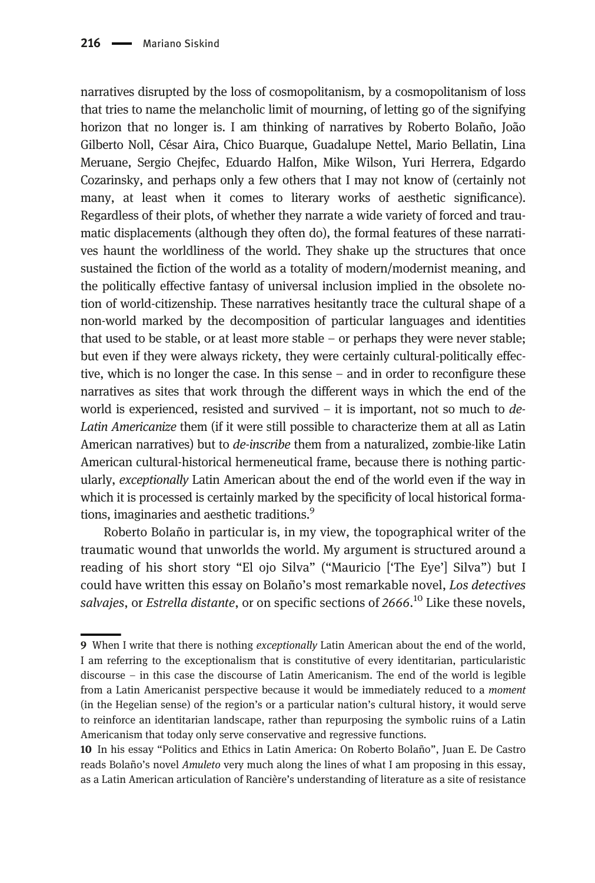narratives disrupted by the loss of cosmopolitanism, by a cosmopolitanism of loss that tries to name the melancholic limit of mourning, of letting go of the signifying horizon that no longer is. I am thinking of narratives by Roberto Bolaño, João Gilberto Noll, César Aira, Chico Buarque, Guadalupe Nettel, Mario Bellatin, Lina Meruane, Sergio Chejfec, Eduardo Halfon, Mike Wilson, Yuri Herrera, Edgardo Cozarinsky, and perhaps only a few others that I may not know of (certainly not many, at least when it comes to literary works of aesthetic significance). Regardless of their plots, of whether they narrate a wide variety of forced and traumatic displacements (although they often do), the formal features of these narratives haunt the worldliness of the world. They shake up the structures that once sustained the fiction of the world as a totality of modern/modernist meaning, and the politically effective fantasy of universal inclusion implied in the obsolete notion of world-citizenship. These narratives hesitantly trace the cultural shape of a non-world marked by the decomposition of particular languages and identities that used to be stable, or at least more stable – or perhaps they were never stable; but even if they were always rickety, they were certainly cultural-politically effective, which is no longer the case. In this sense – and in order to reconfigure these narratives as sites that work through the different ways in which the end of the world is experienced, resisted and survived  $-$  it is important, not so much to *de*-Latin Americanize them (if it were still possible to characterize them at all as Latin American narratives) but to de-inscribe them from a naturalized, zombie-like Latin American cultural-historical hermeneutical frame, because there is nothing particularly, exceptionally Latin American about the end of the world even if the way in which it is processed is certainly marked by the specificity of local historical formations, imaginaries and aesthetic traditions.<sup>9</sup>

Roberto Bolaño in particular is, in my view, the topographical writer of the traumatic wound that unworlds the world. My argument is structured around a reading of his short story "El ojo Silva" ("Mauricio ['The Eye'] Silva") but I could have written this essay on Bolaño's most remarkable novel, Los detectives salvajes, or Estrella distante, or on specific sections of 2666. $^{10}$  Like these novels,

<sup>9</sup> When I write that there is nothing exceptionally Latin American about the end of the world, I am referring to the exceptionalism that is constitutive of every identitarian, particularistic discourse – in this case the discourse of Latin Americanism. The end of the world is legible from a Latin Americanist perspective because it would be immediately reduced to a moment (in the Hegelian sense) of the region's or a particular nation's cultural history, it would serve to reinforce an identitarian landscape, rather than repurposing the symbolic ruins of a Latin Americanism that today only serve conservative and regressive functions.

<sup>10</sup> In his essay "Politics and Ethics in Latin America: On Roberto Bolaño", Juan E. De Castro reads Bolaño's novel Amuleto very much along the lines of what I am proposing in this essay, as a Latin American articulation of Rancière's understanding of literature as a site of resistance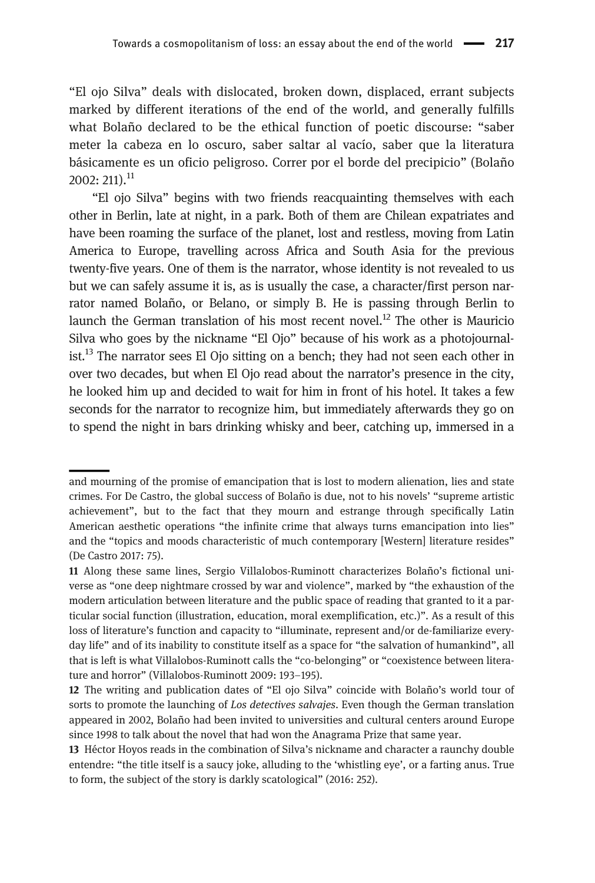"El ojo Silva" deals with dislocated, broken down, displaced, errant subjects marked by different iterations of the end of the world, and generally fulfills what Bolaño declared to be the ethical function of poetic discourse: "saber meter la cabeza en lo oscuro, saber saltar al vacío, saber que la literatura básicamente es un oficio peligroso. Correr por el borde del precipicio" (Bolaño  $2002: 211$ <sup>11</sup>

"El ojo Silva" begins with two friends reacquainting themselves with each other in Berlin, late at night, in a park. Both of them are Chilean expatriates and have been roaming the surface of the planet, lost and restless, moving from Latin America to Europe, travelling across Africa and South Asia for the previous twenty-five years. One of them is the narrator, whose identity is not revealed to us but we can safely assume it is, as is usually the case, a character/first person narrator named Bolaño, or Belano, or simply B. He is passing through Berlin to launch the German translation of his most recent novel.<sup>12</sup> The other is Mauricio Silva who goes by the nickname "El Ojo" because of his work as a photojournalist.<sup>13</sup> The narrator sees El Ojo sitting on a bench; they had not seen each other in over two decades, but when El Ojo read about the narrator's presence in the city, he looked him up and decided to wait for him in front of his hotel. It takes a few seconds for the narrator to recognize him, but immediately afterwards they go on to spend the night in bars drinking whisky and beer, catching up, immersed in a

and mourning of the promise of emancipation that is lost to modern alienation, lies and state crimes. For De Castro, the global success of Bolaño is due, not to his novels' "supreme artistic achievement", but to the fact that they mourn and estrange through specifically Latin American aesthetic operations "the infinite crime that always turns emancipation into lies" and the "topics and moods characteristic of much contemporary [Western] literature resides" (De Castro 2017: 75).

<sup>11</sup> Along these same lines, Sergio Villalobos-Ruminott characterizes Bolaño's fictional universe as "one deep nightmare crossed by war and violence", marked by "the exhaustion of the modern articulation between literature and the public space of reading that granted to it a particular social function (illustration, education, moral exemplification, etc.)". As a result of this loss of literature's function and capacity to "illuminate, represent and/or de-familiarize everyday life" and of its inability to constitute itself as a space for "the salvation of humankind", all that is left is what Villalobos-Ruminott calls the "co-belonging" or "coexistence between literature and horror" (Villalobos-Ruminott 2009: 193–195).

<sup>12</sup> The writing and publication dates of "El ojo Silva" coincide with Bolaño's world tour of sorts to promote the launching of Los detectives salvajes. Even though the German translation appeared in 2002, Bolaño had been invited to universities and cultural centers around Europe since 1998 to talk about the novel that had won the Anagrama Prize that same year.

<sup>13</sup> Héctor Hoyos reads in the combination of Silva's nickname and character a raunchy double entendre: "the title itself is a saucy joke, alluding to the 'whistling eye', or a farting anus. True to form, the subject of the story is darkly scatological" (2016: 252).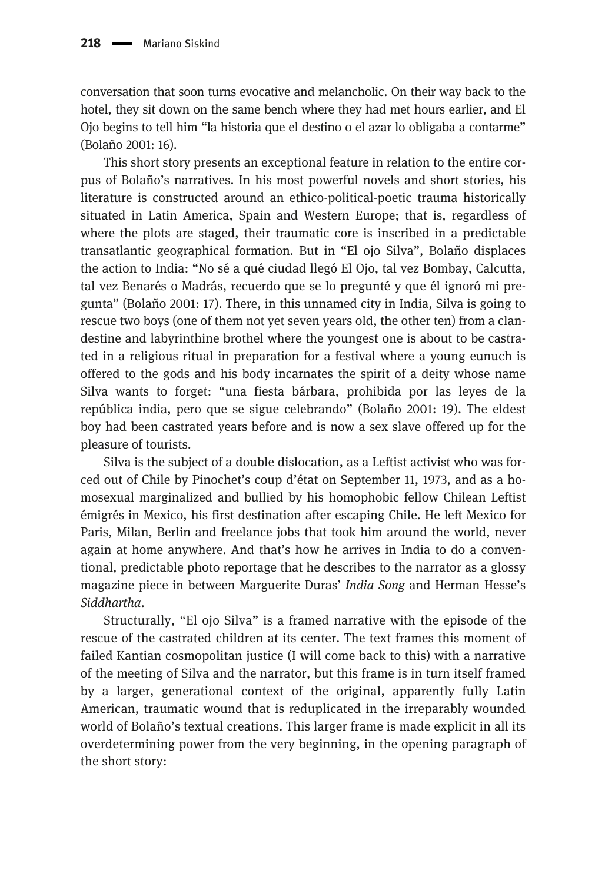conversation that soon turns evocative and melancholic. On their way back to the hotel, they sit down on the same bench where they had met hours earlier, and El Ojo begins to tell him "la historia que el destino o el azar lo obligaba a contarme" (Bolaño 2001: 16).

This short story presents an exceptional feature in relation to the entire corpus of Bolaño's narratives. In his most powerful novels and short stories, his literature is constructed around an ethico-political-poetic trauma historically situated in Latin America, Spain and Western Europe; that is, regardless of where the plots are staged, their traumatic core is inscribed in a predictable transatlantic geographical formation. But in "El ojo Silva", Bolaño displaces the action to India: "No sé a qué ciudad llegó El Ojo, tal vez Bombay, Calcutta, tal vez Benarés o Madrás, recuerdo que se lo pregunté y que él ignoró mi pregunta" (Bolaño 2001: 17). There, in this unnamed city in India, Silva is going to rescue two boys (one of them not yet seven years old, the other ten) from a clandestine and labyrinthine brothel where the youngest one is about to be castrated in a religious ritual in preparation for a festival where a young eunuch is offered to the gods and his body incarnates the spirit of a deity whose name Silva wants to forget: "una fiesta bárbara, prohibida por las leyes de la república india, pero que se sigue celebrando" (Bolaño 2001: 19). The eldest boy had been castrated years before and is now a sex slave offered up for the pleasure of tourists.

Silva is the subject of a double dislocation, as a Leftist activist who was forced out of Chile by Pinochet's coup d'état on September 11, 1973, and as a homosexual marginalized and bullied by his homophobic fellow Chilean Leftist émigrés in Mexico, his first destination after escaping Chile. He left Mexico for Paris, Milan, Berlin and freelance jobs that took him around the world, never again at home anywhere. And that's how he arrives in India to do a conventional, predictable photo reportage that he describes to the narrator as a glossy magazine piece in between Marguerite Duras' India Song and Herman Hesse's Siddhartha.

Structurally, "El ojo Silva" is a framed narrative with the episode of the rescue of the castrated children at its center. The text frames this moment of failed Kantian cosmopolitan justice (I will come back to this) with a narrative of the meeting of Silva and the narrator, but this frame is in turn itself framed by a larger, generational context of the original, apparently fully Latin American, traumatic wound that is reduplicated in the irreparably wounded world of Bolaño's textual creations. This larger frame is made explicit in all its overdetermining power from the very beginning, in the opening paragraph of the short story: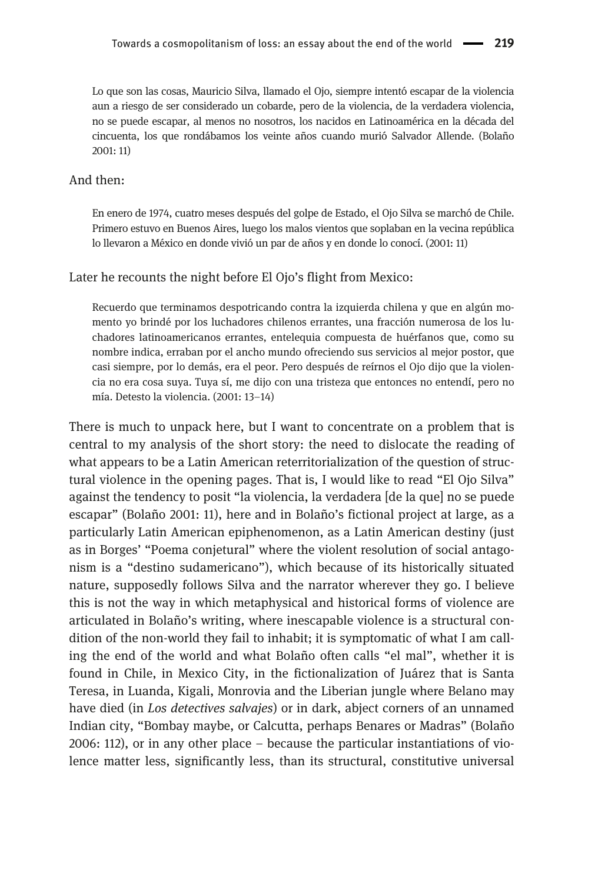Lo que son las cosas, Mauricio Silva, llamado el Ojo, siempre intentó escapar de la violencia aun a riesgo de ser considerado un cobarde, pero de la violencia, de la verdadera violencia, no se puede escapar, al menos no nosotros, los nacidos en Latinoamérica en la década del cincuenta, los que rondábamos los veinte años cuando murió Salvador Allende. (Bolaño 2001: 11)

### And then:

En enero de 1974, cuatro meses después del golpe de Estado, el Ojo Silva se marchó de Chile. Primero estuvo en Buenos Aires, luego los malos vientos que soplaban en la vecina república lo llevaron a México en donde vivió un par de años y en donde lo conocí. (2001: 11)

#### Later he recounts the night before El Ojo's flight from Mexico:

Recuerdo que terminamos despotricando contra la izquierda chilena y que en algún momento yo brindé por los luchadores chilenos errantes, una fracción numerosa de los luchadores latinoamericanos errantes, entelequia compuesta de huérfanos que, como su nombre indica, erraban por el ancho mundo ofreciendo sus servicios al mejor postor, que casi siempre, por lo demás, era el peor. Pero después de reírnos el Ojo dijo que la violencia no era cosa suya. Tuya sí, me dijo con una tristeza que entonces no entendí, pero no mía. Detesto la violencia. (2001: 13–14)

There is much to unpack here, but I want to concentrate on a problem that is central to my analysis of the short story: the need to dislocate the reading of what appears to be a Latin American reterritorialization of the question of structural violence in the opening pages. That is, I would like to read "El Ojo Silva" against the tendency to posit "la violencia, la verdadera [de la que] no se puede escapar" (Bolaño 2001: 11), here and in Bolaño's fictional project at large, as a particularly Latin American epiphenomenon, as a Latin American destiny (just as in Borges' "Poema conjetural" where the violent resolution of social antagonism is a "destino sudamericano"), which because of its historically situated nature, supposedly follows Silva and the narrator wherever they go. I believe this is not the way in which metaphysical and historical forms of violence are articulated in Bolaño's writing, where inescapable violence is a structural condition of the non-world they fail to inhabit; it is symptomatic of what I am calling the end of the world and what Bolaño often calls "el mal", whether it is found in Chile, in Mexico City, in the fictionalization of Juárez that is Santa Teresa, in Luanda, Kigali, Monrovia and the Liberian jungle where Belano may have died (in Los detectives salvajes) or in dark, abject corners of an unnamed Indian city, "Bombay maybe, or Calcutta, perhaps Benares or Madras" (Bolaño 2006: 112), or in any other place – because the particular instantiations of violence matter less, significantly less, than its structural, constitutive universal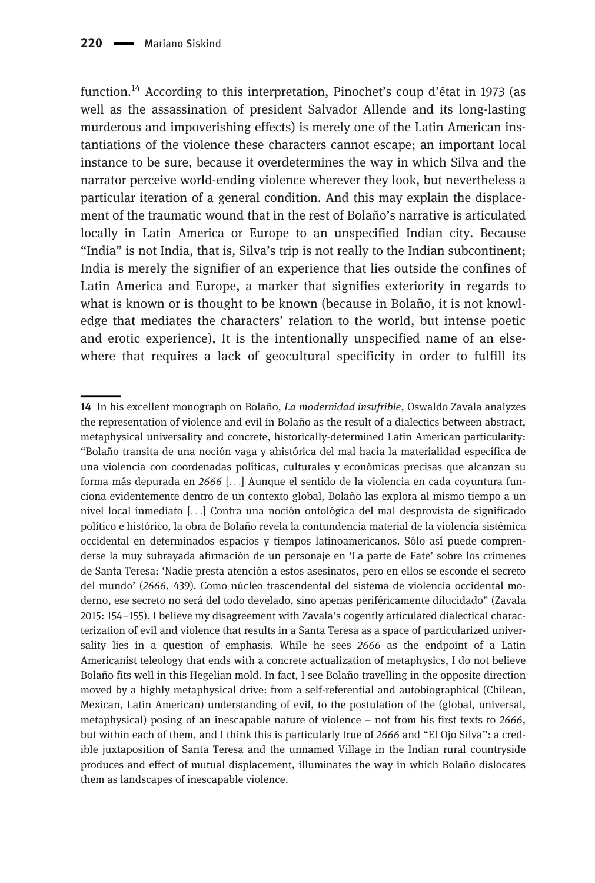function.<sup>14</sup> According to this interpretation, Pinochet's coup d'état in 1973 (as well as the assassination of president Salvador Allende and its long-lasting murderous and impoverishing effects) is merely one of the Latin American instantiations of the violence these characters cannot escape; an important local instance to be sure, because it overdetermines the way in which Silva and the narrator perceive world-ending violence wherever they look, but nevertheless a particular iteration of a general condition. And this may explain the displacement of the traumatic wound that in the rest of Bolaño's narrative is articulated locally in Latin America or Europe to an unspecified Indian city. Because "India" is not India, that is, Silva's trip is not really to the Indian subcontinent; India is merely the signifier of an experience that lies outside the confines of Latin America and Europe, a marker that signifies exteriority in regards to what is known or is thought to be known (because in Bolaño, it is not knowledge that mediates the characters' relation to the world, but intense poetic and erotic experience), It is the intentionally unspecified name of an elsewhere that requires a lack of geocultural specificity in order to fulfill its

<sup>14</sup> In his excellent monograph on Bolaño, La modernidad insufrible, Oswaldo Zavala analyzes the representation of violence and evil in Bolaño as the result of a dialectics between abstract, metaphysical universality and concrete, historically-determined Latin American particularity: "Bolaño transita de una noción vaga y ahistórica del mal hacia la materialidad específica de una violencia con coordenadas políticas, culturales y económicas precisas que alcanzan su forma más depurada en 2666 [...] Aunque el sentido de la violencia en cada coyuntura funciona evidentemente dentro de un contexto global, Bolaño las explora al mismo tiempo a un nivel local inmediato [...] Contra una noción ontológica del mal desprovista de significado político e histórico, la obra de Bolaño revela la contundencia material de la violencia sistémica occidental en determinados espacios y tiempos latinoamericanos. Sólo así puede comprenderse la muy subrayada afirmación de un personaje en 'La parte de Fate' sobre los crímenes de Santa Teresa: 'Nadie presta atención a estos asesinatos, pero en ellos se esconde el secreto del mundo' (2666, 439). Como núcleo trascendental del sistema de violencia occidental moderno, ese secreto no será del todo develado, sino apenas periféricamente dilucidado" (Zavala 2015: 154–155). I believe my disagreement with Zavala's cogently articulated dialectical characterization of evil and violence that results in a Santa Teresa as a space of particularized universality lies in a question of emphasis. While he sees 2666 as the endpoint of a Latin Americanist teleology that ends with a concrete actualization of metaphysics, I do not believe Bolaño fits well in this Hegelian mold. In fact, I see Bolaño travelling in the opposite direction moved by a highly metaphysical drive: from a self-referential and autobiographical (Chilean, Mexican, Latin American) understanding of evil, to the postulation of the (global, universal, metaphysical) posing of an inescapable nature of violence – not from his first texts to 2666, but within each of them, and I think this is particularly true of 2666 and "El Ojo Silva": a credible juxtaposition of Santa Teresa and the unnamed Village in the Indian rural countryside produces and effect of mutual displacement, illuminates the way in which Bolaño dislocates them as landscapes of inescapable violence.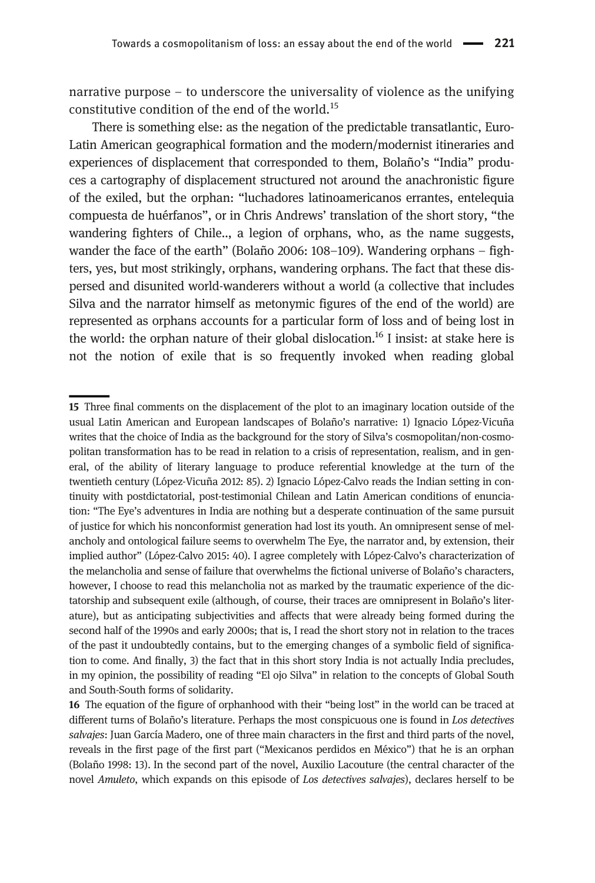narrative purpose – to underscore the universality of violence as the unifying constitutive condition of the end of the world.<sup>15</sup>

There is something else: as the negation of the predictable transatlantic, Euro-Latin American geographical formation and the modern/modernist itineraries and experiences of displacement that corresponded to them, Bolaño's "India" produces a cartography of displacement structured not around the anachronistic figure of the exiled, but the orphan: "luchadores latinoamericanos errantes, entelequia compuesta de huérfanos", or in Chris Andrews' translation of the short story, "the wandering fighters of Chile.., a legion of orphans, who, as the name suggests, wander the face of the earth" (Bolaño 2006: 108–109). Wandering orphans – fighters, yes, but most strikingly, orphans, wandering orphans. The fact that these dispersed and disunited world-wanderers without a world (a collective that includes Silva and the narrator himself as metonymic figures of the end of the world) are represented as orphans accounts for a particular form of loss and of being lost in the world: the orphan nature of their global dislocation.<sup>16</sup> I insist: at stake here is not the notion of exile that is so frequently invoked when reading global

<sup>15</sup> Three final comments on the displacement of the plot to an imaginary location outside of the usual Latin American and European landscapes of Bolaño's narrative: 1) Ignacio López-Vicuña writes that the choice of India as the background for the story of Silva's cosmopolitan/non-cosmopolitan transformation has to be read in relation to a crisis of representation, realism, and in general, of the ability of literary language to produce referential knowledge at the turn of the twentieth century (López-Vicuña 2012: 85). 2) Ignacio López-Calvo reads the Indian setting in continuity with postdictatorial, post-testimonial Chilean and Latin American conditions of enunciation: "The Eye's adventures in India are nothing but a desperate continuation of the same pursuit of justice for which his nonconformist generation had lost its youth. An omnipresent sense of melancholy and ontological failure seems to overwhelm The Eye, the narrator and, by extension, their implied author" (López-Calvo 2015: 40). I agree completely with López-Calvo's characterization of the melancholia and sense of failure that overwhelms the fictional universe of Bolaño's characters, however, I choose to read this melancholia not as marked by the traumatic experience of the dictatorship and subsequent exile (although, of course, their traces are omnipresent in Bolaño's literature), but as anticipating subjectivities and affects that were already being formed during the second half of the 1990s and early 2000s; that is, I read the short story not in relation to the traces of the past it undoubtedly contains, but to the emerging changes of a symbolic field of signification to come. And finally, 3) the fact that in this short story India is not actually India precludes, in my opinion, the possibility of reading "El ojo Silva" in relation to the concepts of Global South and South-South forms of solidarity.

<sup>16</sup> The equation of the figure of orphanhood with their "being lost" in the world can be traced at different turns of Bolaño's literature. Perhaps the most conspicuous one is found in Los detectives salvajes: Juan García Madero, one of three main characters in the first and third parts of the novel, reveals in the first page of the first part ("Mexicanos perdidos en México") that he is an orphan (Bolaño 1998: 13). In the second part of the novel, Auxilio Lacouture (the central character of the novel Amuleto, which expands on this episode of Los detectives salvajes), declares herself to be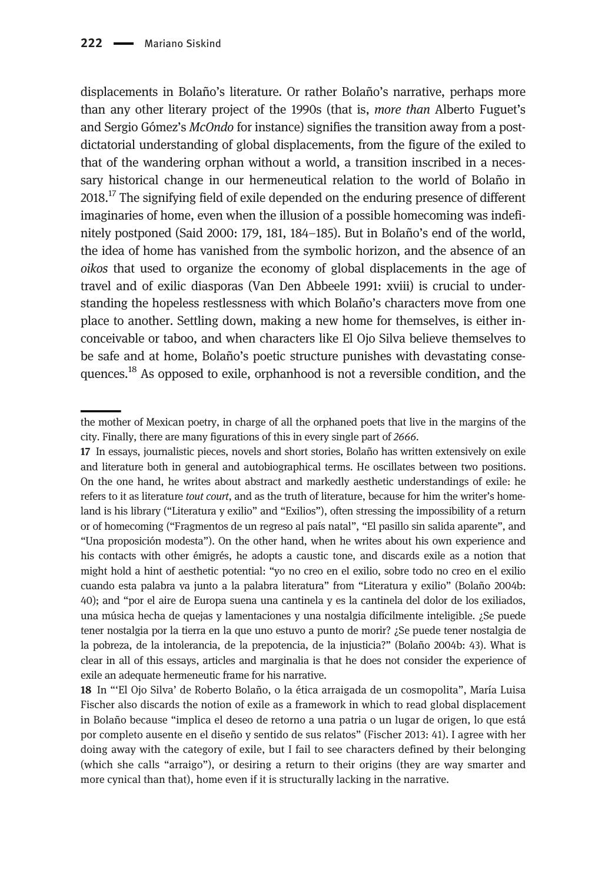displacements in Bolaño's literature. Or rather Bolaño's narrative, perhaps more than any other literary project of the 1990s (that is, more than Alberto Fuguet's and Sergio Gómez's McOndo for instance) signifies the transition away from a postdictatorial understanding of global displacements, from the figure of the exiled to that of the wandering orphan without a world, a transition inscribed in a necessary historical change in our hermeneutical relation to the world of Bolaño in 2018.<sup>17</sup> The signifying field of exile depended on the enduring presence of different imaginaries of home, even when the illusion of a possible homecoming was indefinitely postponed (Said 2000: 179, 181, 184–185). But in Bolaño's end of the world, the idea of home has vanished from the symbolic horizon, and the absence of an oikos that used to organize the economy of global displacements in the age of travel and of exilic diasporas (Van Den Abbeele 1991: xviii) is crucial to understanding the hopeless restlessness with which Bolaño's characters move from one place to another. Settling down, making a new home for themselves, is either inconceivable or taboo, and when characters like El Ojo Silva believe themselves to be safe and at home, Bolaño's poetic structure punishes with devastating consequences.18 As opposed to exile, orphanhood is not a reversible condition, and the

the mother of Mexican poetry, in charge of all the orphaned poets that live in the margins of the city. Finally, there are many figurations of this in every single part of 2666.

<sup>17</sup> In essays, journalistic pieces, novels and short stories, Bolaño has written extensively on exile and literature both in general and autobiographical terms. He oscillates between two positions. On the one hand, he writes about abstract and markedly aesthetic understandings of exile: he refers to it as literature *tout court*, and as the truth of literature, because for him the writer's homeland is his library ("Literatura y exilio" and "Exilios"), often stressing the impossibility of a return or of homecoming ("Fragmentos de un regreso al país natal", "El pasillo sin salida aparente", and "Una proposición modesta"). On the other hand, when he writes about his own experience and his contacts with other émigrés, he adopts a caustic tone, and discards exile as a notion that might hold a hint of aesthetic potential: "yo no creo en el exilio, sobre todo no creo en el exilio cuando esta palabra va junto a la palabra literatura" from "Literatura y exilio" (Bolaño 2004b: 40); and "por el aire de Europa suena una cantinela y es la cantinela del dolor de los exiliados, una música hecha de quejas y lamentaciones y una nostalgia difícilmente inteligible. ¿Se puede tener nostalgia por la tierra en la que uno estuvo a punto de morir? ¿Se puede tener nostalgia de la pobreza, de la intolerancia, de la prepotencia, de la injusticia?" (Bolaño 2004b: 43). What is clear in all of this essays, articles and marginalia is that he does not consider the experience of exile an adequate hermeneutic frame for his narrative.

<sup>18</sup> In "'El Ojo Silva' de Roberto Bolaño, o la ética arraigada de un cosmopolita", María Luisa Fischer also discards the notion of exile as a framework in which to read global displacement in Bolaño because "implica el deseo de retorno a una patria o un lugar de origen, lo que está por completo ausente en el diseño y sentido de sus relatos" (Fischer 2013: 41). I agree with her doing away with the category of exile, but I fail to see characters defined by their belonging (which she calls "arraigo"), or desiring a return to their origins (they are way smarter and more cynical than that), home even if it is structurally lacking in the narrative.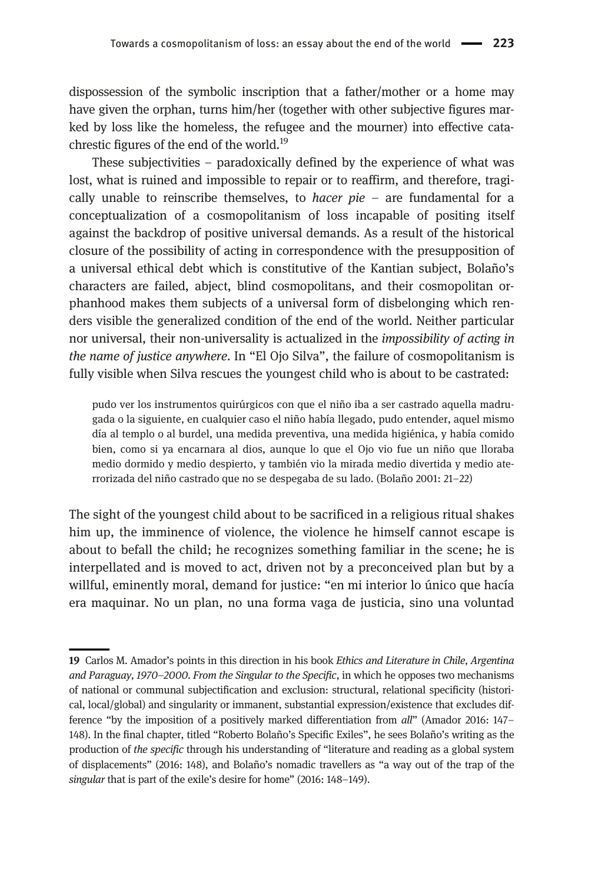dispossession of the symbolic inscription that a father/mother or a home may have given the orphan, turns him/her (together with other subjective figures marked by loss like the homeless, the refugee and the mourner) into effective catachrestic figures of the end of the world.<sup>19</sup>

These subjectivities – paradoxically defined by the experience of what was lost, what is ruined and impossible to repair or to reaffirm, and therefore, tragically unable to reinscribe themselves, to *hacer pie –* are fundamental for a conceptualization of a cosmopolitanism of loss incapable of positing itself against the backdrop of positive universal demands. As a result of the historical closure of the possibility of acting in correspondence with the presupposition of a universal ethical debt which is constitutive of the Kantian subject, Bolaño's characters are failed, abject, blind cosmopolitans, and their cosmopolitan orphanhood makes them subjects of a universal form of disbelonging which renders visible the generalized condition of the end of the world. Neither particular nor universal, their non-universality is actualized in the impossibility of acting in the name of justice anywhere. In "El Ojo Silva", the failure of cosmopolitanism is fully visible when Silva rescues the youngest child who is about to be castrated:

pudo ver los instrumentos quirúrgicos con que el niño iba a ser castrado aquella madrugada o la siguiente, en cualquier caso el niño había llegado, pudo entender, aquel mismo día al templo o al burdel, una medida preventiva, una medida higiénica, y había comido bien, como si ya encarnara al dios, aunque lo que el Ojo vio fue un niño que lloraba medio dormido y medio despierto, y también vio la mirada medio divertida y medio aterrorizada del niño castrado que no se despegaba de su lado. (Bolaño 2001: 21–22)

The sight of the youngest child about to be sacrificed in a religious ritual shakes him up, the imminence of violence, the violence he himself cannot escape is about to befall the child; he recognizes something familiar in the scene; he is interpellated and is moved to act, driven not by a preconceived plan but by a willful, eminently moral, demand for justice: "en mi interior lo único que hacía era maquinar. No un plan, no una forma vaga de justicia, sino una voluntad

<sup>19</sup> Carlos M. Amador's points in this direction in his book Ethics and Literature in Chile, Argentina and Paraguay, 1970–2000. From the Singular to the Specific, in which he opposes two mechanisms of national or communal subjectification and exclusion: structural, relational specificity (historical, local/global) and singularity or immanent, substantial expression/existence that excludes difference "by the imposition of a positively marked differentiation from all" (Amador 2016: 147– 148). In the final chapter, titled "Roberto Bolaño's Specific Exiles", he sees Bolaño's writing as the production of the specific through his understanding of "literature and reading as a global system of displacements" (2016: 148), and Bolaño's nomadic travellers as "a way out of the trap of the singular that is part of the exile's desire for home" (2016: 148–149).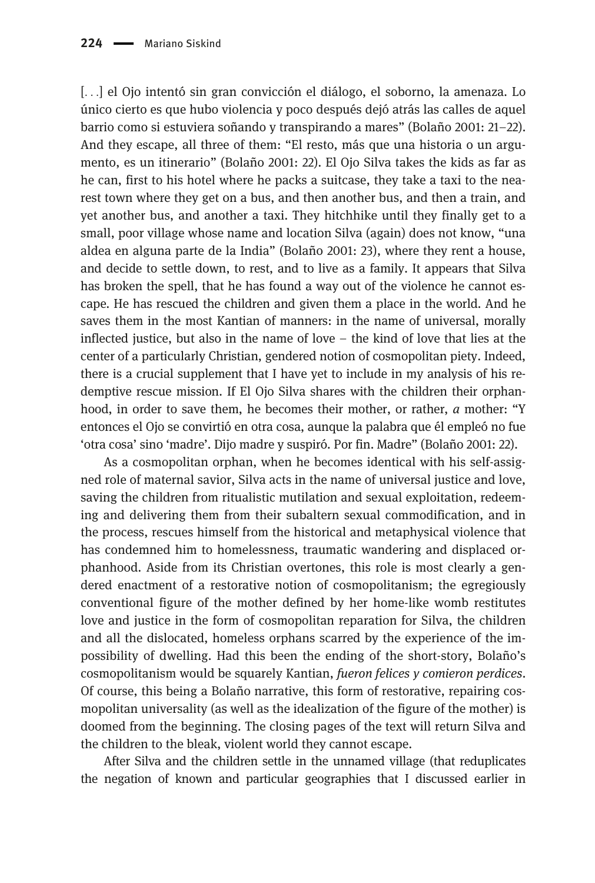[...] el Ojo intentó sin gran convicción el diálogo, el soborno, la amenaza. Lo único cierto es que hubo violencia y poco después dejó atrás las calles de aquel barrio como si estuviera soñando y transpirando a mares" (Bolaño 2001: 21–22). And they escape, all three of them: "El resto, más que una historia o un argumento, es un itinerario" (Bolaño 2001: 22). El Ojo Silva takes the kids as far as he can, first to his hotel where he packs a suitcase, they take a taxi to the nearest town where they get on a bus, and then another bus, and then a train, and yet another bus, and another a taxi. They hitchhike until they finally get to a small, poor village whose name and location Silva (again) does not know, "una aldea en alguna parte de la India" (Bolaño 2001: 23), where they rent a house, and decide to settle down, to rest, and to live as a family. It appears that Silva has broken the spell, that he has found a way out of the violence he cannot escape. He has rescued the children and given them a place in the world. And he saves them in the most Kantian of manners: in the name of universal, morally inflected justice, but also in the name of love – the kind of love that lies at the center of a particularly Christian, gendered notion of cosmopolitan piety. Indeed, there is a crucial supplement that I have yet to include in my analysis of his redemptive rescue mission. If El Ojo Silva shares with the children their orphanhood, in order to save them, he becomes their mother, or rather, a mother: "Y entonces el Ojo se convirtió en otra cosa, aunque la palabra que él empleó no fue 'otra cosa' sino 'madre'. Dijo madre y suspiró. Por fin. Madre" (Bolaño 2001: 22).

As a cosmopolitan orphan, when he becomes identical with his self-assigned role of maternal savior, Silva acts in the name of universal justice and love, saving the children from ritualistic mutilation and sexual exploitation, redeeming and delivering them from their subaltern sexual commodification, and in the process, rescues himself from the historical and metaphysical violence that has condemned him to homelessness, traumatic wandering and displaced orphanhood. Aside from its Christian overtones, this role is most clearly a gendered enactment of a restorative notion of cosmopolitanism; the egregiously conventional figure of the mother defined by her home-like womb restitutes love and justice in the form of cosmopolitan reparation for Silva, the children and all the dislocated, homeless orphans scarred by the experience of the impossibility of dwelling. Had this been the ending of the short-story, Bolaño's cosmopolitanism would be squarely Kantian, fueron felices y comieron perdices. Of course, this being a Bolaño narrative, this form of restorative, repairing cosmopolitan universality (as well as the idealization of the figure of the mother) is doomed from the beginning. The closing pages of the text will return Silva and the children to the bleak, violent world they cannot escape.

After Silva and the children settle in the unnamed village (that reduplicates the negation of known and particular geographies that I discussed earlier in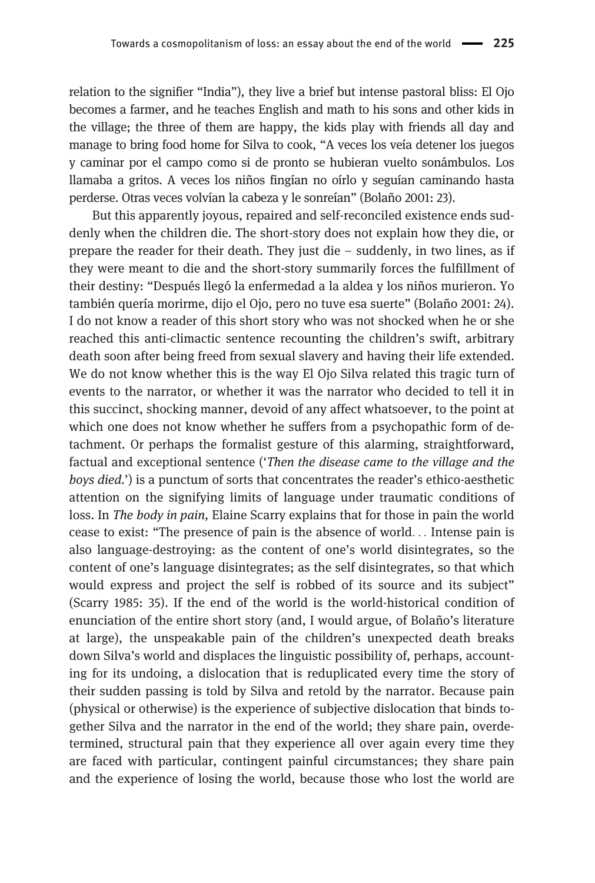relation to the signifier "India"), they live a brief but intense pastoral bliss: El Ojo becomes a farmer, and he teaches English and math to his sons and other kids in the village; the three of them are happy, the kids play with friends all day and manage to bring food home for Silva to cook, "A veces los veía detener los juegos y caminar por el campo como si de pronto se hubieran vuelto sonámbulos. Los llamaba a gritos. A veces los niños fingían no oírlo y seguían caminando hasta perderse. Otras veces volvían la cabeza y le sonreían" (Bolaño 2001: 23).

But this apparently joyous, repaired and self-reconciled existence ends suddenly when the children die. The short-story does not explain how they die, or prepare the reader for their death. They just die – suddenly, in two lines, as if they were meant to die and the short-story summarily forces the fulfillment of their destiny: "Después llegó la enfermedad a la aldea y los niños murieron. Yo también quería morirme, dijo el Ojo, pero no tuve esa suerte" (Bolaño 2001: 24). I do not know a reader of this short story who was not shocked when he or she reached this anti-climactic sentence recounting the children's swift, arbitrary death soon after being freed from sexual slavery and having their life extended. We do not know whether this is the way El Ojo Silva related this tragic turn of events to the narrator, or whether it was the narrator who decided to tell it in this succinct, shocking manner, devoid of any affect whatsoever, to the point at which one does not know whether he suffers from a psychopathic form of detachment. Or perhaps the formalist gesture of this alarming, straightforward, factual and exceptional sentence ('Then the disease came to the village and the boys died.') is a punctum of sorts that concentrates the reader's ethico-aesthetic attention on the signifying limits of language under traumatic conditions of loss. In The body in pain, Elaine Scarry explains that for those in pain the world cease to exist: "The presence of pain is the absence of world... Intense pain is also language-destroying: as the content of one's world disintegrates, so the content of one's language disintegrates; as the self disintegrates, so that which would express and project the self is robbed of its source and its subject" (Scarry 1985: 35). If the end of the world is the world-historical condition of enunciation of the entire short story (and, I would argue, of Bolaño's literature at large), the unspeakable pain of the children's unexpected death breaks down Silva's world and displaces the linguistic possibility of, perhaps, accounting for its undoing, a dislocation that is reduplicated every time the story of their sudden passing is told by Silva and retold by the narrator. Because pain (physical or otherwise) is the experience of subjective dislocation that binds together Silva and the narrator in the end of the world; they share pain, overdetermined, structural pain that they experience all over again every time they are faced with particular, contingent painful circumstances; they share pain and the experience of losing the world, because those who lost the world are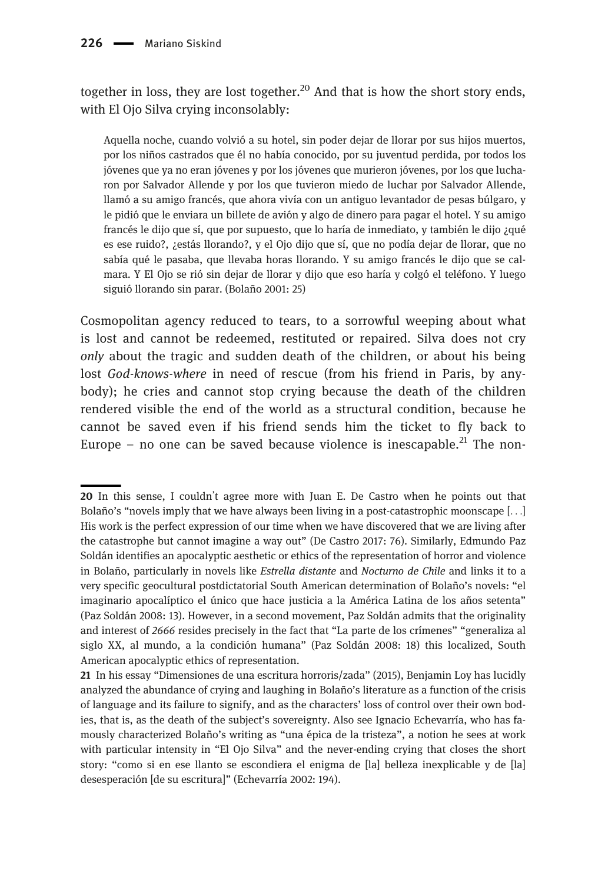together in loss, they are lost together.<sup>20</sup> And that is how the short story ends, with El Ojo Silva crying inconsolably:

Aquella noche, cuando volvió a su hotel, sin poder dejar de llorar por sus hijos muertos, por los niños castrados que él no había conocido, por su juventud perdida, por todos los jóvenes que ya no eran jóvenes y por los jóvenes que murieron jóvenes, por los que lucharon por Salvador Allende y por los que tuvieron miedo de luchar por Salvador Allende, llamó a su amigo francés, que ahora vivía con un antiguo levantador de pesas búlgaro, y le pidió que le enviara un billete de avión y algo de dinero para pagar el hotel. Y su amigo francés le dijo que sí, que por supuesto, que lo haría de inmediato, y también le dijo ¿qué es ese ruido?, ¿estás llorando?, y el Ojo dijo que sí, que no podía dejar de llorar, que no sabía qué le pasaba, que llevaba horas llorando. Y su amigo francés le dijo que se calmara. Y El Ojo se rió sin dejar de llorar y dijo que eso haría y colgó el teléfono. Y luego siguió llorando sin parar. (Bolaño 2001: 25)

Cosmopolitan agency reduced to tears, to a sorrowful weeping about what is lost and cannot be redeemed, restituted or repaired. Silva does not cry only about the tragic and sudden death of the children, or about his being lost God-knows-where in need of rescue (from his friend in Paris, by anybody); he cries and cannot stop crying because the death of the children rendered visible the end of the world as a structural condition, because he cannot be saved even if his friend sends him the ticket to fly back to Europe – no one can be saved because violence is inescapable.<sup>21</sup> The non-

<sup>20</sup> In this sense, I couldn't agree more with Juan E. De Castro when he points out that Bolaño's "novels imply that we have always been living in a post-catastrophic moonscape [...] His work is the perfect expression of our time when we have discovered that we are living after the catastrophe but cannot imagine a way out" (De Castro 2017: 76). Similarly, Edmundo Paz Soldán identifies an apocalyptic aesthetic or ethics of the representation of horror and violence in Bolaño, particularly in novels like *Estrella distante* and *Nocturno de Chile* and links it to a very specific geocultural postdictatorial South American determination of Bolaño's novels: "el imaginario apocalíptico el único que hace justicia a la América Latina de los años setenta" (Paz Soldán 2008: 13). However, in a second movement, Paz Soldán admits that the originality and interest of 2666 resides precisely in the fact that "La parte de los crímenes" "generaliza al siglo XX, al mundo, a la condición humana" (Paz Soldán 2008: 18) this localized, South American apocalyptic ethics of representation.

<sup>21</sup> In his essay "Dimensiones de una escritura horroris/zada" (2015), Benjamin Loy has lucidly analyzed the abundance of crying and laughing in Bolaño's literature as a function of the crisis of language and its failure to signify, and as the characters' loss of control over their own bodies, that is, as the death of the subject's sovereignty. Also see Ignacio Echevarría, who has famously characterized Bolaño's writing as "una épica de la tristeza", a notion he sees at work with particular intensity in "El Ojo Silva" and the never-ending crying that closes the short story: "como si en ese llanto se escondiera el enigma de [la] belleza inexplicable y de [la] desesperación [de su escritura]" (Echevarría 2002: 194).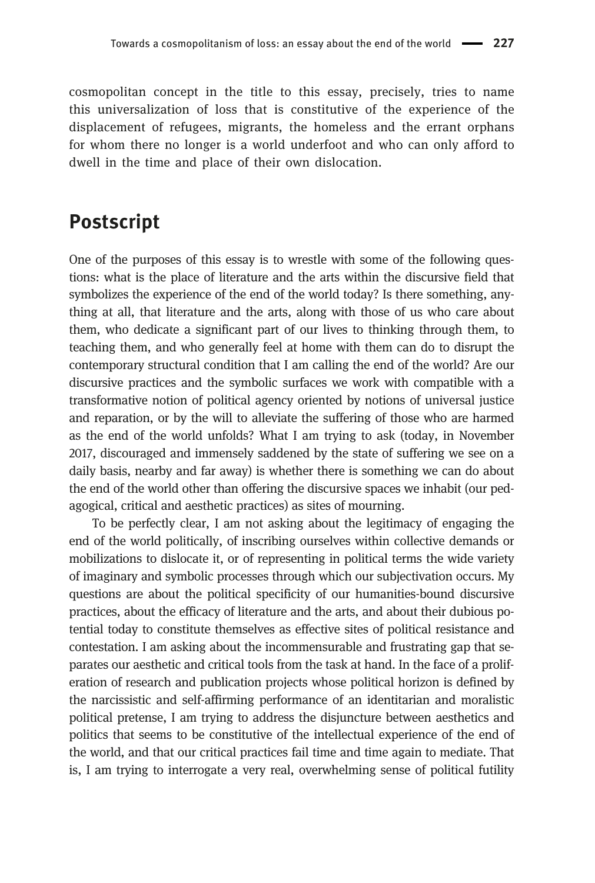cosmopolitan concept in the title to this essay, precisely, tries to name this universalization of loss that is constitutive of the experience of the displacement of refugees, migrants, the homeless and the errant orphans for whom there no longer is a world underfoot and who can only afford to dwell in the time and place of their own dislocation.

### Postscript

One of the purposes of this essay is to wrestle with some of the following questions: what is the place of literature and the arts within the discursive field that symbolizes the experience of the end of the world today? Is there something, anything at all, that literature and the arts, along with those of us who care about them, who dedicate a significant part of our lives to thinking through them, to teaching them, and who generally feel at home with them can do to disrupt the contemporary structural condition that I am calling the end of the world? Are our discursive practices and the symbolic surfaces we work with compatible with a transformative notion of political agency oriented by notions of universal justice and reparation, or by the will to alleviate the suffering of those who are harmed as the end of the world unfolds? What I am trying to ask (today, in November 2017, discouraged and immensely saddened by the state of suffering we see on a daily basis, nearby and far away) is whether there is something we can do about the end of the world other than offering the discursive spaces we inhabit (our pedagogical, critical and aesthetic practices) as sites of mourning.

To be perfectly clear, I am not asking about the legitimacy of engaging the end of the world politically, of inscribing ourselves within collective demands or mobilizations to dislocate it, or of representing in political terms the wide variety of imaginary and symbolic processes through which our subjectivation occurs. My questions are about the political specificity of our humanities-bound discursive practices, about the efficacy of literature and the arts, and about their dubious potential today to constitute themselves as effective sites of political resistance and contestation. I am asking about the incommensurable and frustrating gap that separates our aesthetic and critical tools from the task at hand. In the face of a proliferation of research and publication projects whose political horizon is defined by the narcissistic and self-affirming performance of an identitarian and moralistic political pretense, I am trying to address the disjuncture between aesthetics and politics that seems to be constitutive of the intellectual experience of the end of the world, and that our critical practices fail time and time again to mediate. That is, I am trying to interrogate a very real, overwhelming sense of political futility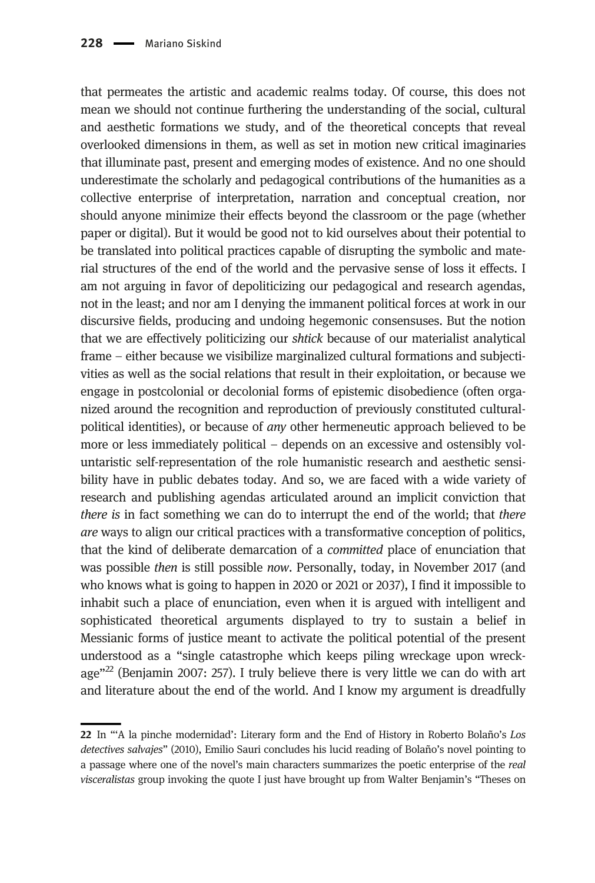that permeates the artistic and academic realms today. Of course, this does not mean we should not continue furthering the understanding of the social, cultural and aesthetic formations we study, and of the theoretical concepts that reveal overlooked dimensions in them, as well as set in motion new critical imaginaries that illuminate past, present and emerging modes of existence. And no one should underestimate the scholarly and pedagogical contributions of the humanities as a collective enterprise of interpretation, narration and conceptual creation, nor should anyone minimize their effects beyond the classroom or the page (whether paper or digital). But it would be good not to kid ourselves about their potential to be translated into political practices capable of disrupting the symbolic and material structures of the end of the world and the pervasive sense of loss it effects. I am not arguing in favor of depoliticizing our pedagogical and research agendas, not in the least; and nor am I denying the immanent political forces at work in our discursive fields, producing and undoing hegemonic consensuses. But the notion that we are effectively politicizing our shtick because of our materialist analytical frame – either because we visibilize marginalized cultural formations and subjectivities as well as the social relations that result in their exploitation, or because we engage in postcolonial or decolonial forms of epistemic disobedience (often organized around the recognition and reproduction of previously constituted culturalpolitical identities), or because of any other hermeneutic approach believed to be more or less immediately political – depends on an excessive and ostensibly voluntaristic self-representation of the role humanistic research and aesthetic sensibility have in public debates today. And so, we are faced with a wide variety of research and publishing agendas articulated around an implicit conviction that there is in fact something we can do to interrupt the end of the world; that there are ways to align our critical practices with a transformative conception of politics, that the kind of deliberate demarcation of a committed place of enunciation that was possible *then* is still possible *now*. Personally, today, in November 2017 (and who knows what is going to happen in 2020 or 2021 or 2037), I find it impossible to inhabit such a place of enunciation, even when it is argued with intelligent and sophisticated theoretical arguments displayed to try to sustain a belief in Messianic forms of justice meant to activate the political potential of the present understood as a "single catastrophe which keeps piling wreckage upon wreckage"<sup>22</sup> (Benjamin 2007: 257). I truly believe there is very little we can do with art and literature about the end of the world. And I know my argument is dreadfully

<sup>22</sup> In "'A la pinche modernidad': Literary form and the End of History in Roberto Bolaño's Los detectives salvajes" (2010), Emilio Sauri concludes his lucid reading of Bolaño's novel pointing to a passage where one of the novel's main characters summarizes the poetic enterprise of the real visceralistas group invoking the quote I just have brought up from Walter Benjamin's "Theses on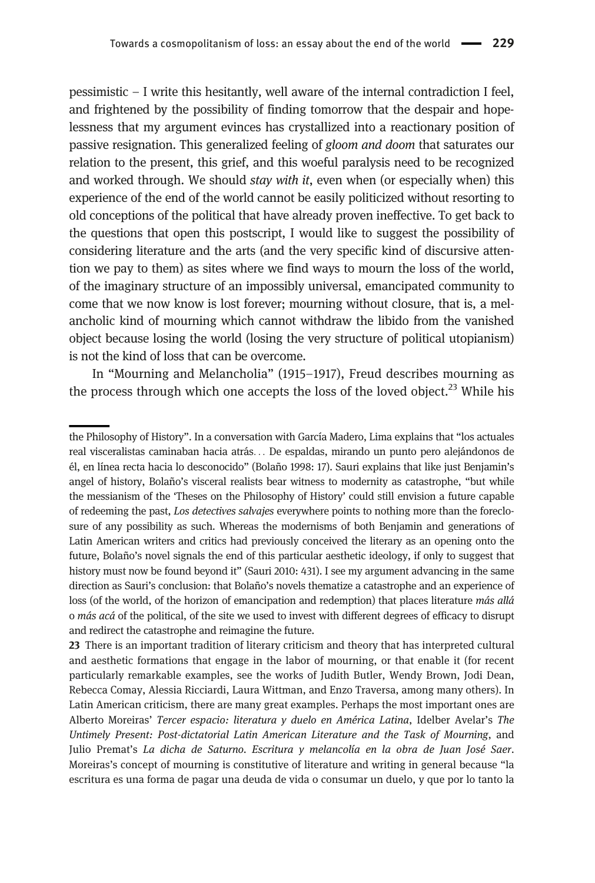pessimistic – I write this hesitantly, well aware of the internal contradiction I feel, and frightened by the possibility of finding tomorrow that the despair and hopelessness that my argument evinces has crystallized into a reactionary position of passive resignation. This generalized feeling of gloom and doom that saturates our relation to the present, this grief, and this woeful paralysis need to be recognized and worked through. We should stay with it, even when (or especially when) this experience of the end of the world cannot be easily politicized without resorting to old conceptions of the political that have already proven ineffective. To get back to the questions that open this postscript, I would like to suggest the possibility of considering literature and the arts (and the very specific kind of discursive attention we pay to them) as sites where we find ways to mourn the loss of the world, of the imaginary structure of an impossibly universal, emancipated community to come that we now know is lost forever; mourning without closure, that is, a melancholic kind of mourning which cannot withdraw the libido from the vanished object because losing the world (losing the very structure of political utopianism) is not the kind of loss that can be overcome.

In "Mourning and Melancholia" (1915–1917), Freud describes mourning as the process through which one accepts the loss of the loved object.<sup>23</sup> While his

the Philosophy of History". In a conversation with García Madero, Lima explains that "los actuales real visceralistas caminaban hacia atrás... De espaldas, mirando un punto pero alejándonos de él, en línea recta hacia lo desconocido" (Bolaño 1998: 17). Sauri explains that like just Benjamin's angel of history, Bolaño's visceral realists bear witness to modernity as catastrophe, "but while the messianism of the 'Theses on the Philosophy of History' could still envision a future capable of redeeming the past, Los detectives salvajes everywhere points to nothing more than the foreclosure of any possibility as such. Whereas the modernisms of both Benjamin and generations of Latin American writers and critics had previously conceived the literary as an opening onto the future, Bolaño's novel signals the end of this particular aesthetic ideology, if only to suggest that history must now be found beyond it" (Sauri 2010: 431). I see my argument advancing in the same direction as Sauri's conclusion: that Bolaño's novels thematize a catastrophe and an experience of loss (of the world, of the horizon of emancipation and redemption) that places literature más allá o más acá of the political, of the site we used to invest with different degrees of efficacy to disrupt and redirect the catastrophe and reimagine the future.

<sup>23</sup> There is an important tradition of literary criticism and theory that has interpreted cultural and aesthetic formations that engage in the labor of mourning, or that enable it (for recent particularly remarkable examples, see the works of Judith Butler, Wendy Brown, Jodi Dean, Rebecca Comay, Alessia Ricciardi, Laura Wittman, and Enzo Traversa, among many others). In Latin American criticism, there are many great examples. Perhaps the most important ones are Alberto Moreiras' Tercer espacio: literatura y duelo en América Latina, Idelber Avelar's The Untimely Present: Post-dictatorial Latin American Literature and the Task of Mourning, and Julio Premat's La dicha de Saturno. Escritura y melancolía en la obra de Juan José Saer. Moreiras's concept of mourning is constitutive of literature and writing in general because "la escritura es una forma de pagar una deuda de vida o consumar un duelo, y que por lo tanto la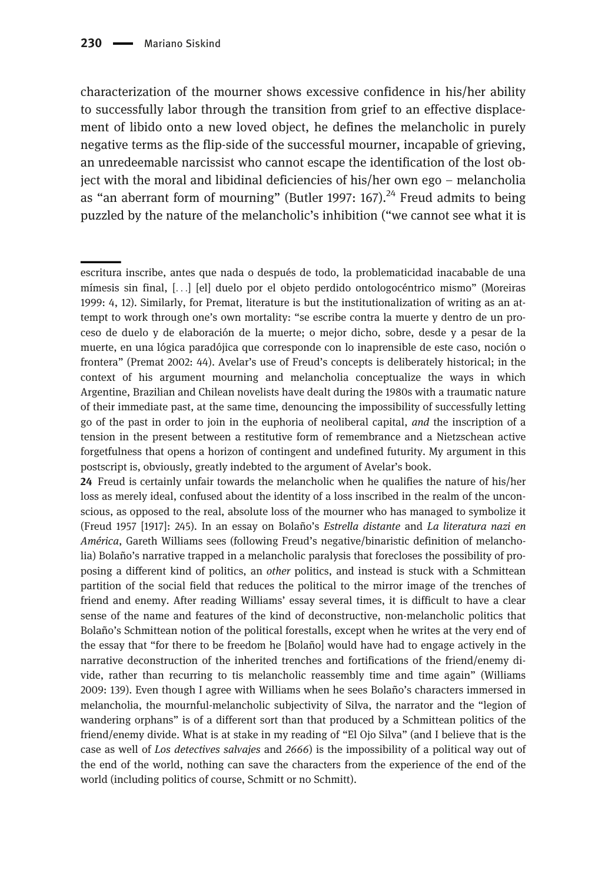characterization of the mourner shows excessive confidence in his/her ability to successfully labor through the transition from grief to an effective displacement of libido onto a new loved object, he defines the melancholic in purely negative terms as the flip-side of the successful mourner, incapable of grieving, an unredeemable narcissist who cannot escape the identification of the lost object with the moral and libidinal deficiencies of his/her own ego – melancholia as "an aberrant form of mourning" (Butler 1997: 167).<sup>24</sup> Freud admits to being puzzled by the nature of the melancholic's inhibition ("we cannot see what it is

escritura inscribe, antes que nada o después de todo, la problematicidad inacabable de una mímesis sin final, [...] [el] duelo por el objeto perdido ontologocéntrico mismo" (Moreiras 1999: 4, 12). Similarly, for Premat, literature is but the institutionalization of writing as an attempt to work through one's own mortality: "se escribe contra la muerte y dentro de un proceso de duelo y de elaboración de la muerte; o mejor dicho, sobre, desde y a pesar de la muerte, en una lógica paradójica que corresponde con lo inaprensible de este caso, noción o frontera" (Premat 2002: 44). Avelar's use of Freud's concepts is deliberately historical; in the context of his argument mourning and melancholia conceptualize the ways in which Argentine, Brazilian and Chilean novelists have dealt during the 1980s with a traumatic nature of their immediate past, at the same time, denouncing the impossibility of successfully letting go of the past in order to join in the euphoria of neoliberal capital, and the inscription of a tension in the present between a restitutive form of remembrance and a Nietzschean active forgetfulness that opens a horizon of contingent and undefined futurity. My argument in this postscript is, obviously, greatly indebted to the argument of Avelar's book.

<sup>24</sup> Freud is certainly unfair towards the melancholic when he qualifies the nature of his/her loss as merely ideal, confused about the identity of a loss inscribed in the realm of the unconscious, as opposed to the real, absolute loss of the mourner who has managed to symbolize it (Freud 1957 [1917]: 245). In an essay on Bolaño's Estrella distante and La literatura nazi en América, Gareth Williams sees (following Freud's negative/binaristic definition of melancholia) Bolaño's narrative trapped in a melancholic paralysis that forecloses the possibility of proposing a different kind of politics, an other politics, and instead is stuck with a Schmittean partition of the social field that reduces the political to the mirror image of the trenches of friend and enemy. After reading Williams' essay several times, it is difficult to have a clear sense of the name and features of the kind of deconstructive, non-melancholic politics that Bolaño's Schmittean notion of the political forestalls, except when he writes at the very end of the essay that "for there to be freedom he [Bolaño] would have had to engage actively in the narrative deconstruction of the inherited trenches and fortifications of the friend/enemy divide, rather than recurring to tis melancholic reassembly time and time again" (Williams 2009: 139). Even though I agree with Williams when he sees Bolaño's characters immersed in melancholia, the mournful-melancholic subjectivity of Silva, the narrator and the "legion of wandering orphans" is of a different sort than that produced by a Schmittean politics of the friend/enemy divide. What is at stake in my reading of "El Ojo Silva" (and I believe that is the case as well of Los detectives salvajes and 2666) is the impossibility of a political way out of the end of the world, nothing can save the characters from the experience of the end of the world (including politics of course, Schmitt or no Schmitt).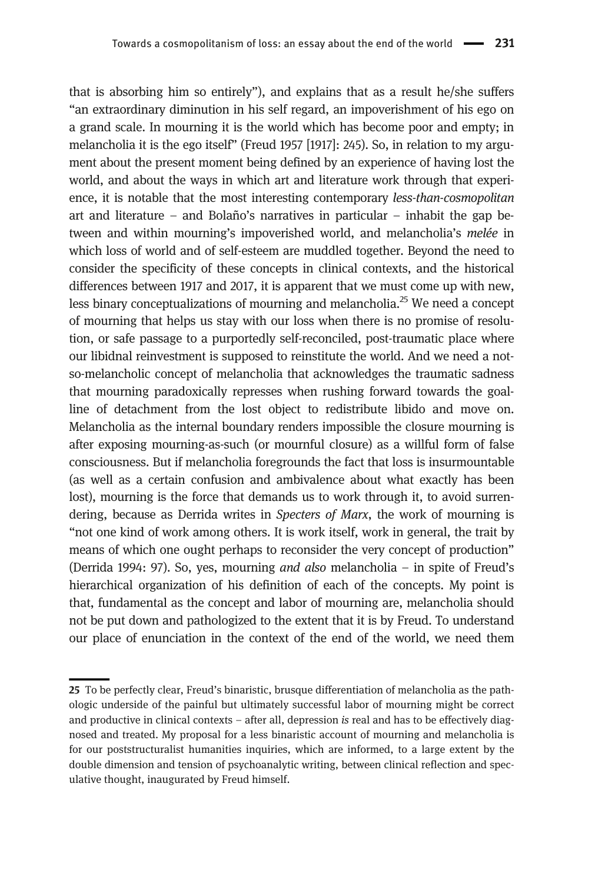that is absorbing him so entirely"), and explains that as a result he/she suffers "an extraordinary diminution in his self regard, an impoverishment of his ego on a grand scale. In mourning it is the world which has become poor and empty; in melancholia it is the ego itself" (Freud 1957 [1917]: 245). So, in relation to my argument about the present moment being defined by an experience of having lost the world, and about the ways in which art and literature work through that experience, it is notable that the most interesting contemporary less-than-cosmopolitan art and literature – and Bolaño's narratives in particular – inhabit the gap between and within mourning's impoverished world, and melancholia's melée in which loss of world and of self-esteem are muddled together. Beyond the need to consider the specificity of these concepts in clinical contexts, and the historical differences between 1917 and 2017, it is apparent that we must come up with new, less binary conceptualizations of mourning and melancholia.<sup>25</sup> We need a concept of mourning that helps us stay with our loss when there is no promise of resolution, or safe passage to a purportedly self-reconciled, post-traumatic place where our libidnal reinvestment is supposed to reinstitute the world. And we need a notso-melancholic concept of melancholia that acknowledges the traumatic sadness that mourning paradoxically represses when rushing forward towards the goalline of detachment from the lost object to redistribute libido and move on. Melancholia as the internal boundary renders impossible the closure mourning is after exposing mourning-as-such (or mournful closure) as a willful form of false consciousness. But if melancholia foregrounds the fact that loss is insurmountable (as well as a certain confusion and ambivalence about what exactly has been lost), mourning is the force that demands us to work through it, to avoid surrendering, because as Derrida writes in Specters of Marx, the work of mourning is "not one kind of work among others. It is work itself, work in general, the trait by means of which one ought perhaps to reconsider the very concept of production" (Derrida 1994: 97). So, yes, mourning and also melancholia – in spite of Freud's hierarchical organization of his definition of each of the concepts. My point is that, fundamental as the concept and labor of mourning are, melancholia should not be put down and pathologized to the extent that it is by Freud. To understand our place of enunciation in the context of the end of the world, we need them

<sup>25</sup> To be perfectly clear, Freud's binaristic, brusque differentiation of melancholia as the pathologic underside of the painful but ultimately successful labor of mourning might be correct and productive in clinical contexts – after all, depression is real and has to be effectively diagnosed and treated. My proposal for a less binaristic account of mourning and melancholia is for our poststructuralist humanities inquiries, which are informed, to a large extent by the double dimension and tension of psychoanalytic writing, between clinical reflection and speculative thought, inaugurated by Freud himself.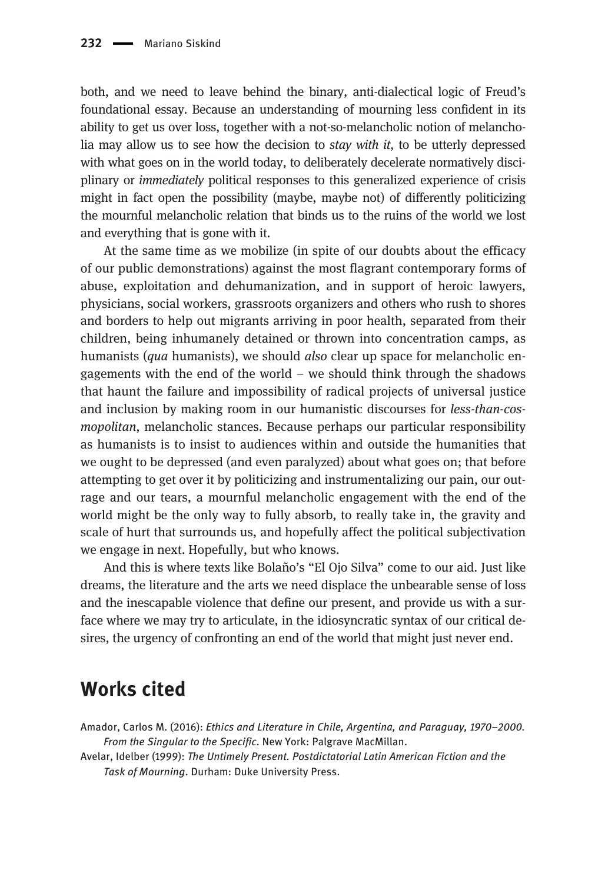both, and we need to leave behind the binary, anti-dialectical logic of Freud's foundational essay. Because an understanding of mourning less confident in its ability to get us over loss, together with a not-so-melancholic notion of melancholia may allow us to see how the decision to  $stay$  with it, to be utterly depressed with what goes on in the world today, to deliberately decelerate normatively disciplinary or immediately political responses to this generalized experience of crisis might in fact open the possibility (maybe, maybe not) of differently politicizing the mournful melancholic relation that binds us to the ruins of the world we lost and everything that is gone with it.

At the same time as we mobilize (in spite of our doubts about the efficacy of our public demonstrations) against the most flagrant contemporary forms of abuse, exploitation and dehumanization, and in support of heroic lawyers, physicians, social workers, grassroots organizers and others who rush to shores and borders to help out migrants arriving in poor health, separated from their children, being inhumanely detained or thrown into concentration camps, as humanists (qua humanists), we should also clear up space for melancholic engagements with the end of the world – we should think through the shadows that haunt the failure and impossibility of radical projects of universal justice and inclusion by making room in our humanistic discourses for less-than-cosmopolitan, melancholic stances. Because perhaps our particular responsibility as humanists is to insist to audiences within and outside the humanities that we ought to be depressed (and even paralyzed) about what goes on; that before attempting to get over it by politicizing and instrumentalizing our pain, our outrage and our tears, a mournful melancholic engagement with the end of the world might be the only way to fully absorb, to really take in, the gravity and scale of hurt that surrounds us, and hopefully affect the political subjectivation we engage in next. Hopefully, but who knows.

And this is where texts like Bolaño's "El Ojo Silva" come to our aid. Just like dreams, the literature and the arts we need displace the unbearable sense of loss and the inescapable violence that define our present, and provide us with a surface where we may try to articulate, in the idiosyncratic syntax of our critical desires, the urgency of confronting an end of the world that might just never end.

## Works cited

Amador, Carlos M. (2016): Ethics and Literature in Chile, Argentina, and Paraguay, 1970–2000. From the Singular to the Specific. New York: Palgrave MacMillan.

Avelar, Idelber (1999): The Untimely Present. Postdictatorial Latin American Fiction and the Task of Mourning. Durham: Duke University Press.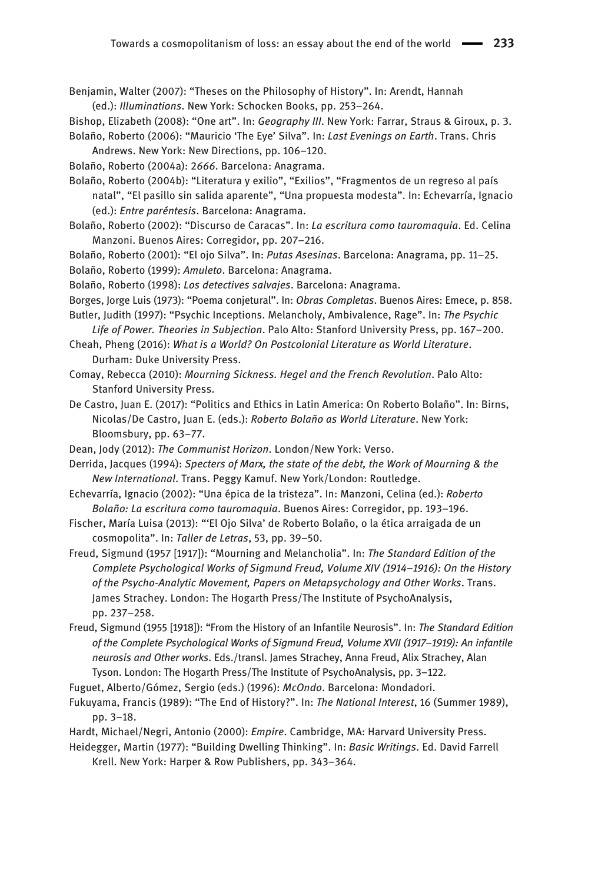Benjamin, Walter (2007): "Theses on the Philosophy of History". In: Arendt, Hannah (ed.): Illuminations. New York: Schocken Books, pp. 253–264.

- Bishop, Elizabeth (2008): "One art". In: Geography III. New York: Farrar, Straus & Giroux, p. 3. Bolaño, Roberto (2006): "Mauricio 'The Eye' Silva". In: Last Evenings on Earth. Trans. Chris
- Andrews. New York: New Directions, pp. 106–120.

Bolaño, Roberto (2004a): 2666. Barcelona: Anagrama.

- Bolaño, Roberto (2004b): "Literatura y exilio", "Exilios", "Fragmentos de un regreso al país natal", "El pasillo sin salida aparente", "Una propuesta modesta". In: Echevarría, Ignacio (ed.): Entre paréntesis. Barcelona: Anagrama.
- Bolaño, Roberto (2002): "Discurso de Caracas". In: La escritura como tauromaquia. Ed. Celina Manzoni. Buenos Aires: Corregidor, pp. 207–216.
- Bolaño, Roberto (2001): "El ojo Silva". In: Putas Asesinas. Barcelona: Anagrama, pp. 11–25. Bolaño, Roberto (1999): Amuleto. Barcelona: Anagrama.
- Bolaño, Roberto (1998): Los detectives salvajes. Barcelona: Anagrama.
- Borges, Jorge Luis (1973): "Poema conjetural". In: Obras Completas. Buenos Aires: Emece, p. 858.
- Butler, Judith (1997): "Psychic Inceptions. Melancholy, Ambivalence, Rage". In: The Psychic Life of Power. Theories in Subjection. Palo Alto: Stanford University Press, pp. 167–200.
- Cheah, Pheng (2016): What is a World? On Postcolonial Literature as World Literature. Durham: Duke University Press.
- Comay, Rebecca (2010): Mourning Sickness. Hegel and the French Revolution. Palo Alto: Stanford University Press.
- De Castro, Juan E. (2017): "Politics and Ethics in Latin America: On Roberto Bolaño". In: Birns, Nicolas/De Castro, Juan E. (eds.): Roberto Bolaño as World Literature. New York: Bloomsbury, pp. 63–77.
- Dean, Jody (2012): The Communist Horizon. London/New York: Verso.
- Derrida, Jacques (1994): Specters of Marx, the state of the debt, the Work of Mourning & the New International. Trans. Peggy Kamuf. New York/London: Routledge.
- Echevarría, Ignacio (2002): "Una épica de la tristeza". In: Manzoni, Celina (ed.): Roberto Bolaño: La escritura como tauromaquia. Buenos Aires: Corregidor, pp. 193–196.
- Fischer, María Luisa (2013): "'El Ojo Silva' de Roberto Bolaño, o la ética arraigada de un cosmopolita". In: Taller de Letras, 53, pp. 39–50.
- Freud, Sigmund (1957 [1917]): "Mourning and Melancholia". In: The Standard Edition of the Complete Psychological Works of Sigmund Freud, Volume XIV (1914–1916): On the History of the Psycho-Analytic Movement, Papers on Metapsychology and Other Works. Trans. James Strachey. London: The Hogarth Press/The Institute of PsychoAnalysis, pp. 237–258.
- Freud, Sigmund (1955 [1918]): "From the History of an Infantile Neurosis". In: The Standard Edition of the Complete Psychological Works of Sigmund Freud, Volume XVII (1917–1919): An infantile neurosis and Other works. Eds./transl. James Strachey, Anna Freud, Alix Strachey, Alan Tyson. London: The Hogarth Press/The Institute of PsychoAnalysis, pp. 3–122.
- Fuguet, Alberto/Gómez, Sergio (eds.) (1996): McOndo. Barcelona: Mondadori.
- Fukuyama, Francis (1989): "The End of History?". In: The National Interest, 16 (Summer 1989), pp. 3–18.

Hardt, Michael/Negri, Antonio (2000): Empire. Cambridge, MA: Harvard University Press.

Heidegger, Martin (1977): "Building Dwelling Thinking". In: Basic Writings. Ed. David Farrell Krell. New York: Harper & Row Publishers, pp. 343–364.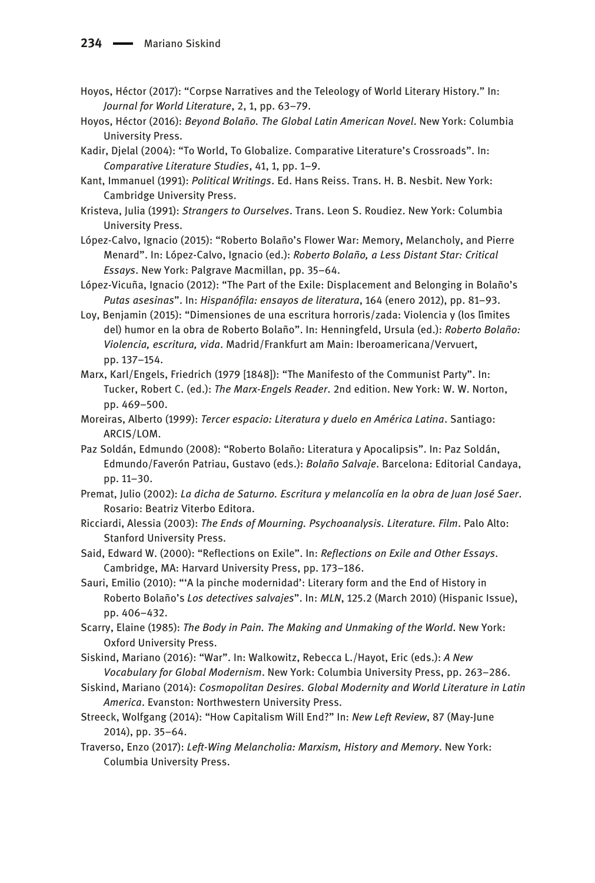- Hoyos, Héctor (2017): "Corpse Narratives and the Teleology of World Literary History." In: Journal for World Literature, 2, 1, pp. 63–79.
- Hoyos, Héctor (2016): Beyond Bolaño. The Global Latin American Novel. New York: Columbia University Press.
- Kadir, Djelal (2004): "To World, To Globalize. Comparative Literature's Crossroads". In: Comparative Literature Studies, 41, 1, pp. 1–9.
- Kant, Immanuel (1991): Political Writings. Ed. Hans Reiss. Trans. H. B. Nesbit. New York: Cambridge University Press.
- Kristeva, Julia (1991): Strangers to Ourselves. Trans. Leon S. Roudiez. New York: Columbia University Press.
- López-Calvo, Ignacio (2015): "Roberto Bolaño's Flower War: Memory, Melancholy, and Pierre Menard". In: López-Calvo, Ignacio (ed.): Roberto Bolaño, a Less Distant Star: Critical Essays. New York: Palgrave Macmillan, pp. 35–64.
- López-Vicuña, Ignacio (2012): "The Part of the Exile: Displacement and Belonging in Bolaño's Putas asesinas". In: Hispanófila: ensayos de literatura, 164 (enero 2012), pp. 81–93.
- Loy, Benjamin (2015): "Dimensiones de una escritura horroris/zada: Violencia y (los límites del) humor en la obra de Roberto Bolaño". In: Henningfeld, Ursula (ed.): Roberto Bolaño: Violencia, escritura, vida. Madrid/Frankfurt am Main: Iberoamericana/Vervuert, pp. 137–154.
- Marx, Karl/Engels, Friedrich (1979 [1848]): "The Manifesto of the Communist Party". In: Tucker, Robert C. (ed.): The Marx-Engels Reader. 2nd edition. New York: W. W. Norton, pp. 469–500.
- Moreiras, Alberto (1999): Tercer espacio: Literatura y duelo en América Latina. Santiago: ARCIS/LOM.
- Paz Soldán, Edmundo (2008): "Roberto Bolaño: Literatura y Apocalipsis". In: Paz Soldán, Edmundo/Faverón Patriau, Gustavo (eds.): Bolaño Salvaje. Barcelona: Editorial Candaya, pp. 11–30.
- Premat, Julio (2002): La dicha de Saturno. Escritura y melancolía en la obra de Juan José Saer. Rosario: Beatriz Viterbo Editora.
- Ricciardi, Alessia (2003): The Ends of Mourning. Psychoanalysis. Literature. Film. Palo Alto: Stanford University Press.
- Said, Edward W. (2000): "Reflections on Exile". In: Reflections on Exile and Other Essays. Cambridge, MA: Harvard University Press, pp. 173–186.
- Sauri, Emilio (2010): "'A la pinche modernidad': Literary form and the End of History in Roberto Bolaño's Los detectives salvajes". In: MLN, 125.2 (March 2010) (Hispanic Issue), pp. 406–432.
- Scarry, Elaine (1985): The Body in Pain. The Making and Unmaking of the World. New York: Oxford University Press.
- Siskind, Mariano (2016): "War". In: Walkowitz, Rebecca L./Hayot, Eric (eds.): A New Vocabulary for Global Modernism. New York: Columbia University Press, pp. 263–286.
- Siskind, Mariano (2014): Cosmopolitan Desires. Global Modernity and World Literature in Latin America. Evanston: Northwestern University Press.
- Streeck, Wolfgang (2014): "How Capitalism Will End?" In: New Left Review, 87 (May-June 2014), pp. 35–64.
- Traverso, Enzo (2017): Left-Wing Melancholia: Marxism, History and Memory. New York: Columbia University Press.